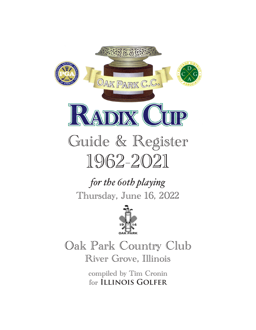

Oak Park Country Club River Grove, Illinois

> compiled by Tim Cronin for **Illinois Golfer**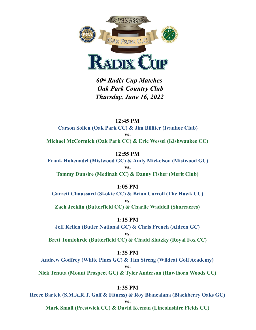

*60th Radix Cup Matches Oak Park Country Club Thursday, June 16, 2022* 

**12:45 PM Carson Solien (Oak Park CC) & Jim Billiter (Ivanhoe Club) vs. Michael McCormick (Oak Park CC) & Eric Wessel (Kishwaukee CC)**

**Frank Hohenadel (Mistwood GC) & Andy Mickelson (Mistwood GC) vs. Tommy Dunsire (Medinah CC) & Danny Fisher (Merit Club)**

**1:05 PM Garrett Chaussard (Skokie CC) & Brian Carroll (The Hawk CC) vs. Zach Jecklin (Butterfield CC) & Charlie Waddell (Shoreacres)**

**1:15 PM Jeff Kellen (Butler National GC) & Chris French (Aldeen GC) vs. Brett Tomfohrde (Butterfield CC) & Chadd Slutzky (Royal Fox CC)**

**1:25 PM Andrew Godfrey (White Pines GC) & Tim Streng (Wildcat Golf Academy) vs. Nick Tenuta (Mount Prospect GC) & Tyler Anderson (Hawthorn Woods CC)**

**1:35 PM Reece Bartelt (S.M.A.R.T. Golf & Fitness) & Roy Biancalana (Blackberry Oaks GC) vs.** 

**Mark Small (Prestwick CC) & David Keenan (Lincolnshire Fields CC)**

# **12:55 PM**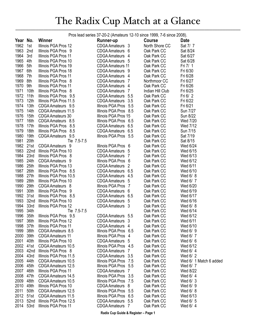# The Radix Cup Match at a Glance

–––––––––––––––––––––––––––––––––––––––––––––––––––––––––––––––––––––––––––––––––––––––– Pros lead series 37-20-2 (Amateurs 12-10 since 1999, 7-6 since 2008).

| Year No. |                  | Winner                  | Runner-up                | <b>Course</b>    | <b>Date</b>            |
|----------|------------------|-------------------------|--------------------------|------------------|------------------------|
| 1962     | 1st              | Illinois PGA Pros 12    | CDGA Amateurs 3          | North Shore CC   | Sat 7/ 7               |
| 1963     | 2nd              | Illinois PGA Pros 9     | CDGA Amateurs 6          | Oak Park CC      | Sat 8/24               |
| 1964     | 3rd              | Illinois PGA Pros 11    | CDGA Amateurs 4          | Oak Park CC      | Sat 6/27               |
| 1965     | 4th              | Illinois PGA Pros 10    | CDGA Amateurs 5          | Oak Park CC      | Sat 6/28               |
| 1966     | 5th              | Illinois PGA Pros 19    | <b>CDGA Amateurs 11</b>  | Oak Park CC      | Fri 7/ 1               |
| 1967     | 6th              | Illinois PGA Pros 18    | CDGA Amateurs 9          | Oak Park CC      | Fri 6/30               |
| 1968     | 7th              | Illinois PGA Pros 11    | CDGA Amateurs 4          | Oak Park CC      | Fri 6/28               |
| 1969     | 8th              | Illinois PGA Pros 8     | CDGA Amateurs 7          | Northmoor CC     | Fri 6/27               |
| 1970     | 9th              | Illinois PGA Pros 11    | CDGA Amateurs 4          | Oak Park CC      | Fri 6/26               |
| 1971     | 10th             | Illinois PGA Pros 8     | CDGA Amateurs 7          | Indian Hill Club | Fri 6/25               |
| 1972     | 11th             | Illinois PGA Pros 9.5   | CDGA Amateurs 5.5        | Oak Park CC      | Fri 6/ 2               |
| 1973     | 12 <sub>th</sub> | Illinois PGA Pros 11.5  | CDGA Amateurs 3.5        | Oak Park CC      | Fri 6/22               |
| 1974     | 13 <sub>th</sub> | CDGA Amateurs 9.5       | Illinois PGA Pros 5.5    | Oak Park CC      | Fri 6/21               |
| 1975     | 14th             | CDGA Amateurs 11.5      | Illinois PGA Pros 8.5    | Oak Park CC      | Sun 7/27               |
| 1976     | 15th             | CDGA Amateurs 30        | Illinois PGA Pros 15     | Oak Park CC      | Sun 8/22               |
| 1977     | 16th             | CDGA Amateurs 8.5       | Illinois PGA Pros 6.5    | Oak Park CC      | Wed 7/20               |
| 1978     | 17th             | Illinois PGA Pros 8.5   | CDGA Amateurs 6.5        | Oak Park CC      | Wed 7/12               |
| 1979     | 18th             | Illinois PGA Pros 8.5   | CDGA Amateurs 6.5        | Oak Park CC      | Sun 7/15               |
| 1980     | 19th             | CDGA Amateurs 9.5       | Illinois PGA Pros 5.5    | Oak Park CC      | Sat 7/19               |
| 1981     | 20th             | Tie 7.5-7.5             |                          | Oak Park CC      | Sat 8/15               |
| 1982     | 21st             | CDGA Amateurs 9         | Illinois PGA Pros 6      | Oak Park CC      | Wed 6/24               |
| 1983     | 22nd             | Illinois PGA Pros 10    | CDGA Amateurs 5          | Oak Park CC      | Wed 6/15               |
| 1984     | 23rd             | Illinois PGA Pros 8     | CDGA Amateurs 7          | Oak Park CC      | Wed 6/13               |
| 1985     | 24th             | CDGA Amateurs 9         | Illinois PGA Pros 6      | Oak Park CC      | Wed 6/12               |
| 1986     | 25 <sub>th</sub> | Illinois PGA Pros 13    | CDGA Amateurs 2          | Oak Park CC      | Wed 6/11               |
| 1987     | 26th             | Illinois PGA Pros 8.5   | CDGA Amateurs 6.5        | Oak Park CC      | Wed 6/10               |
| 1988     | 27th             | Illinois PGA Pros 10.5  | CDGA Amateurs 4.5        | Oak Park CC      | Wed 6/8                |
| 1989     | 28th             | Illinois PGA Pros 10    | CDGA Amateurs 5          | Oak Park CC      | Wed 6/ 7               |
| 1990     | 29th             | CDGA Amateurs 8         | Illinois PGA Pros 7      | Oak Park CC      | Wed 6/20               |
| 1991     | 30th             | Illinois PGA Pros 9     | CDGA Amateurs 6          | Oak Park CC      | Wed 6/19               |
| 1992     | 31st             | Illinois PGA Pros 8.5   | CDGA Amateurs 6.5        | Oak Park CC      | Wed 6/17               |
| 1993     | 32nd             | Illinois PGA Pros 10    | CDGA Amateurs 5          | Oak Park CC      | Wed 6/16               |
| 1994     | 33rd             | Illinois PGA Pros 12    | CDGA Amateurs 3          | Oak Park CC      | Wed 6/8                |
| 1995     | 34th             | Tie 7.5-7.5             |                          | Oak Park CC      | Wed 6/14               |
| 1996     | 35th             | Illinois PGA Pros 9.5   | CDGA Amateurs 5.5        | Oak Park CC      | Wed 6/12               |
| 1997     | 36th             | Illinois PGA Pros 12    | CDGA Amateurs 3          | Oak Park CC      | Wed 6/11               |
| 1998     | 37th             | Illinois PGA Pros 11    | CDGA Amateurs 4          | Oak Park CC      | Wed 6/10               |
| 1999     | 38th             | CDGA Amateurs 8.5       | Illinois PGA Pros 6.5    | Oak Park CC      | Wed 6/ 9               |
| 2000     | 39th             | <b>CDGA Amateurs 11</b> | Illinois PGA Pros 4      | Oak Park CC      |                        |
| 2001     | 40th             | Illinois PGA Pros 10    |                          |                  | Wed 6/ 7               |
| 2002     |                  |                         | CDGA Amateurs 5          | Oak Park CC      | Wed $6/6$              |
|          | 41st             | CDGA Amateurs 10.5      | Illinois PGA Pros 4.5    | Oak Park CC      | Wed 6/12               |
| 2003     | 42nd             | Illinois PGA Pros 8     | CDGA Amateurs 7          | Oak Park CC      | Wed 6/4                |
| 2004     | 43rd             | Illinois PGA Pros 11.5  | CDGA Amateurs 3.5        | Oak Park CC      | Wed 6/2                |
| 2005     | 44th             | CDGA Amateurs 10.5      | Illinois PGA Pros<br>7.5 | Oak Park CC      | Wed 6/ 1 Match 6 added |
| 2006     | 45th             | CDGA Amateurs 12.5      | Illinois PGA Pros 5.5    | Oak Park CC      | Wed 6/ 7               |
| 2007     | 46th             | Illinois PGA Pros 11    | CDGA Amateurs 7          | Oak Park CC      | Wed 8/22               |
| 2008     | 47th             | CDGA Amateurs 14.5      | Illinois PGA Pros 3.5    | Oak Park CC      | Wed 6/4                |
| 2009     | 48th             | CDGA Amateurs 10.5      | 7.5<br>Illinois PGA Pros | Oak Park CC      | Wed $6/3$              |
| 2010     | 49th             | Illinois PGA Pros 10    | CDGA Amateurs 8          | Oak Park CC      | Wed 6/ 9               |
| 2011     | 50th             | CDGA Amateurs 12.5      | Illinois PGA Pros 5.5    | Oak Park CC      | Wed 6/8                |
| 2012     | 51st             | CDGA Amateurs 11.5      | Illinois PGA Pros 6.5    | Oak Park CC      | Wed 6/13               |
| 2013     | 52nd             | Illinois PGA Pros 12.5  | CDGA Amateurs 5.5        | Oak Park CC      | Wed 6/ 5               |
| 2014     | 53rd             | Illinois PGA Pros 11    | CDGA Amateurs 7          | Oak Park CC      | Wed 6/4                |

**Radix Cup Guide & Register – Page 1**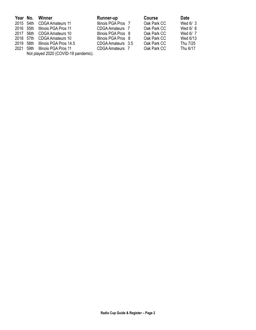| Year No.      | Winner                         | Runner-up           | <b>Course</b> | <b>Date</b> |
|---------------|--------------------------------|---------------------|---------------|-------------|
|               | 2015 54th CDGA Amateurs 11     | Illinois PGA Pros 7 | Oak Park CC   | Wed 6/3     |
|               | 2016 55th Illinois PGA Pros 11 | CDGA Amateurs 7     | Oak Park CC   | Wed 6/8     |
| 2017          | 56th CDGA Amateurs 10          | Illinois PGA Pros 8 | Oak Park CC   | Wed 6/ 7    |
|               | 2018 57th CDGA Amateurs 10     | Illinois PGA Pros 8 | Oak Park CC   | Wed 6/13    |
| 2019<br>.58th | Illinois PGA Pros 14.5         | CDGA Amateurs 3.5   | Oak Park CC   | Thu 7/25    |
| 2021<br>59th  | Illinois PGA Pros 11           | CDGA Amateurs 7     | Oak Park CC   | Thu 6/17    |

Not played 2020 (COVID-19 pandemic).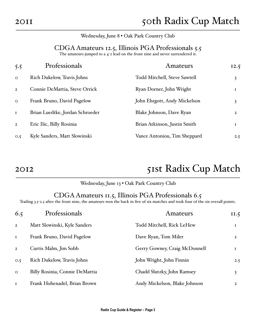### –––––––––––––––––––––––––––––––––––––––––––––––––––––––––––––––––––––––––––––––––––––––––––––––––– Wednesday, June 8 • Oak Park Country Club

# CDGA Amateurs 12.5, Illinois PGA Professionals 5.5

The amateurs jumped to a 4-2 lead on the front nine and never surrendered it.

| 5.5            | Professionals                     | Amateurs                     | 12.5         |
|----------------|-----------------------------------|------------------------------|--------------|
| $\Omega$       | <b>Rich Dukelow, Travis Johns</b> | Todd Mitchell, Steve Sawtell | 3            |
| $\overline{2}$ | Connie DeMattia, Steve Orrick     | Ryan Dorner, John Wright     | 1            |
| $\Omega$       | Frank Bruno, David Pagelow        | John Ehrgott, Andy Mickelson | 3            |
| $\mathbf{I}$   | Brian Luedtke, Jordan Schroeder   | Blake Johnson, Dave Ryan     | $\mathbf{2}$ |
| $\overline{2}$ | Eric Ilic, Billy Rosinia          | Brian Atkinson, Justin Smith | 1            |
| O.5            | Kyle Sanders, Matt Slowinski      | Vance Antoniou, Tim Sheppard | 2.5          |

# 2012 51st Radix Cup Match

### –––––––––––––––––––––––––––––––––––––––––––––––––––––––––––––––––––––––––––––––––––––––––––––––––– Wednesday, June 13 • Oak Park Country Club

# CDGA Amateurs 11.5, Illinois PGA Professionals 6.5

Trailing 3.5-2.5 after the front nine, the amateurs won the back in five of six matches and took four of the six overall points.

| 6.5            | Professionals                  | Amateurs                      | II.5           |
|----------------|--------------------------------|-------------------------------|----------------|
| $\overline{2}$ | Matt Slowinski, Kyle Sanders   | Todd Mitchell, Rick LeHew     | 1              |
| $\mathbf I$    | Frank Bruno, David Pagelow     | Dave Ryan, Tom Miler          | $\overline{2}$ |
| $\overline{2}$ | Curtis Malm, Jim Sobb          | Gerry Gowney, Craig McDonnell | 1              |
| O.5            | Rich Dukelow, Travis Johns     | John Wright, John Finnin      | 2.5            |
| $\circ$        | Billy Rosinia, Connie DeMattia | Chadd Slutzky, John Ramsey    | $\mathfrak{Z}$ |
| $\mathbf I$    | Frank Hohenadel, Brian Brown   | Andy Mickelson, Blake Johnson | $\mathbf{2}$   |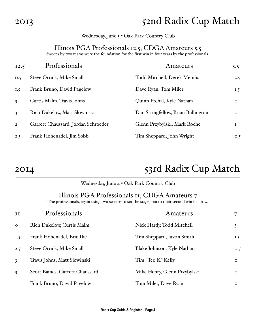### –––––––––––––––––––––––––––––––––––––––––––––––––––––––––––––––––––––––––––––––––––––––––––––––––– Wednesday, June 5 • Oak Park Country Club

# Illinois PGA Professionals 12.5, CDGA Amateurs 5.5

Sweeps by two teams were the foundation for the first win in four years by the professionals.

| 12.5           | Professionals                       | Amateurs                           | 5.5     |
|----------------|-------------------------------------|------------------------------------|---------|
| O.5            | <b>Steve Orrick, Mike Small</b>     | Todd Mitchell, Derek Meinhart      | 2.5     |
| I.5            | Frank Bruno, David Pagelow          | Dave Ryan, Tom Miler               | 1.5     |
| 3              | Curtis Malm, Travis Johns           | Quinn Prchal, Kyle Nathan          | $\circ$ |
| 3              | <b>Rich Dukelow, Matt Slowinski</b> | Dan Stringfellow, Brian Bullington | $\circ$ |
| $\overline{2}$ | Garrett Chaussard, Jordan Schroeder | Glenn Przybylski, Mark Roche       | 1       |
| 2.5            | Frank Hohenadel, Jim Sobb           | Tim Sheppard, John Wright          | O.5     |

# 2014 53rd Radix Cup Match

### –––––––––––––––––––––––––––––––––––––––––––––––––––––––––––––––––––––––––––––––––––––––––––––––––– Wednesday, June 4 • Oak Park Country Club

# Illinois PGA Professionals 11, CDGA Amateurs 7

The professionals, again using two sweeps to set the stage, ran to their second win in a row.

| $\mathbf{H}$ | Professionals                    | Amateurs                     |              |
|--------------|----------------------------------|------------------------------|--------------|
| $\Omega$     | <b>Rich Dukelow, Curtis Malm</b> | Nick Hardy, Todd Mitchell    | 3            |
| I.5          | Frank Hohenadel, Eric Ilic       | Tim Sheppard, Justin Smith   | 1.5          |
| 2.5          | <b>Steve Orrick, Mike Small</b>  | Blake Johnson, Kyle Nathan   | O.5          |
| 3            | Travis Johns, Matt Slowinski     | Tim "Tee-K" Kelly            | $\circ$      |
| 3            | Scott Baines, Garrett Chaussard  | Mike Henry, Glenn Przybylski | $\circ$      |
| $\mathbf I$  | Frank Bruno, David Pagelow       | Tom Miler, Dave Ryan         | $\mathbf{2}$ |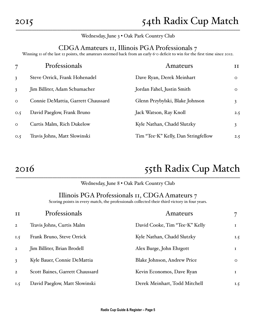–––––––––––––––––––––––––––––––––––––––––––––––––––––––––––––––––––––––––––––––––––––––––––––––––– Wednesday, June 3 • Oak Park Country Club

# CDGA Amateurs 11, Illinois PGA Professionals 7

Winning 11 of the last 12 points, the amateurs stormed back from an early 6-0 deficit to win for the first time since 2012.

| 7                       | Professionals                      | Amateurs                            | $\mathbf{I}$ |
|-------------------------|------------------------------------|-------------------------------------|--------------|
| 3                       | Steve Orrick, Frank Hohenadel      | Dave Ryan, Derek Meinhart           | $\circ$      |
| $\overline{\mathbf{3}}$ | Jim Billiter, Adam Schumacher      | Jordan Fahel, Justin Smith          | $\circ$      |
| $\Omega$                | Connie DeMattia, Garrett Chaussard | Glenn Przybylski, Blake Johnson     | 3            |
| O.5                     | David Paeglow, Frank Bruno         | Jack Watson, Ray Knoll              | 2.5          |
| $\Omega$                | Curtis Malm, Rich Dukelow          | Kyle Nathan, Chadd Slutzky          | 3            |
| O.5                     | Travis Johns, Matt Slowinski       | Tim "Tee-K" Kelly, Dan Stringfellow | 2.5          |

# 2016 55th Radix Cup Match

### –––––––––––––––––––––––––––––––––––––––––––––––––––––––––––––––––––––––––––––––––––––––––––––––––– Wednesday, June 8 • Oak Park Country Club

# Illinois PGA Professionals 11, CDGA Amateurs 7

Scoring points in every match, the professionals collected their third victory in four years.

| II             | Professionals                   | Amateurs                       |         |
|----------------|---------------------------------|--------------------------------|---------|
| $\overline{2}$ | Travis Johns, Curtis Malm       | David Cooke, Tim "Tee-K" Kelly | 1       |
| I.5            | Frank Bruno, Steve Orrick       | Kyle Nathan, Chadd Slutzky     | 1.5     |
| $\overline{2}$ | Jim Billiter, Brian Brodell     | Alex Burge, John Ehrgott       | 1       |
| 3              | Kyle Bauer, Connie DeMattia     | Blake Johnson, Andrew Price    | $\circ$ |
| $\mathbf{2}$   | Scott Baines, Garrett Chaussard | Kevin Economos, Dave Ryan      | 1       |
| I.5            | David Paeglow, Matt Slowinski   | Derek Meinhart, Todd Mitchell  | 1.5     |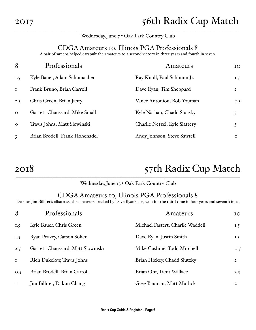–––––––––––––––––––––––––––––––––––––––––––––––––––––––––––––––––––––––––––––––––––––––––––––––––– Wednesday, June 7 • Oak Park Country Club

# CDGA Amateurs 10, Illinois PGA Professionals 8

A pair of sweeps helped catapult the amateurs to a second victory in three years and fourth in seven.

| 8            | Professionals                  | Amateurs                      | IO             |
|--------------|--------------------------------|-------------------------------|----------------|
| I.5          | Kyle Bauer, Adam Schumacher    | Ray Knoll, Paul Schlimm Jr.   | I.5            |
| $\mathbf{I}$ | Frank Bruno, Brian Carroll     | Dave Ryan, Tim Sheppard       | $\overline{2}$ |
| 2.5          | Chris Green, Brian Janty       | Vance Antoniou, Bob Youman    | O.5            |
| $\Omega$     | Garrett Chaussard, Mike Small  | Kyle Nathan, Chadd Slutzky    | 3              |
| $\circ$      | Travis Johns, Matt Slowinski   | Charlie Netzel, Kyle Slattery | 3              |
| 3            | Brian Brodell, Frank Hohenadel | Andy Johnson, Steve Sawtell   | $\circ$        |

# 2018 57th Radix Cup Match

### –––––––––––––––––––––––––––––––––––––––––––––––––––––––––––––––––––––––––––––––––––––––––––––––––– Wednesday, June 13 • Oak Park Country Club

# CDGA Amateurs 10, Illinois PGA Professionals 8

Despite Jim Billiter's albatross, the amateurs, backed by Dave Ryan's ace, won for the third time in four years and seventh in 11.

| 8           | Professionals                     | Amateurs                         | IO             |
|-------------|-----------------------------------|----------------------------------|----------------|
| I.5         | Kyle Bauer, Chris Green           | Michael Fastert, Charlie Waddell | 1.5            |
| I.5         | Ryan Peavey, Carson Solien        | Dave Ryan, Justin Smith          | 1.5            |
| 2.5         | Garrett Chaussard, Matt Slowinski | Mike Cushing, Todd Mitchell      | O.5            |
| $\mathbf I$ | <b>Rich Dukelow, Travis Johns</b> | Brian Hickey, Chadd Slutzky      | $\overline{2}$ |
| O.5         | Brian Brodell, Brian Carroll      | Brian Ohr, Trent Wallace         | 2.5            |
| $\mathbf I$ | Jim Billiter, Dakun Chang         | Greg Bauman, Matt Murlick        | $\mathbf{2}$   |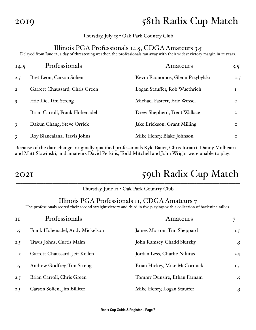–––––––––––––––––––––––––––––––––––––––––––––––––––––––––––––––––––––––––––––––––––––––––––––––––– Thursday, July 25 • Oak Park Country Club

# Illinois PGA Professionals 14.5, CDGA Amateurs 3.5

Delayed from June 12, a day of threatening weather, the professionals ran away with their widest victory margin in 22 years.

| 14.5         | Professionals                  | Amateurs                         | 3.5          |
|--------------|--------------------------------|----------------------------------|--------------|
| 2.5          | Bret Leon, Carson Solien       | Kevin Economos, Glenn Przybylski | O.5          |
| $\mathbf{2}$ | Garrett Chaussard, Chris Green | Logan Stauffer, Rob Wuethrich    | 1            |
| 3            | Eric Ilic, Tim Streng          | Michael Fastert, Eric Wessel     | $\circ$      |
| $\mathbf{I}$ | Brian Carroll, Frank Hohenadel | Drew Shepherd, Trent Wallace     | $\mathbf{2}$ |
| 3            | Dakun Chang, Steve Orrick      | Jake Erickson, Grant Milling     | $\circ$      |
| 3            | Roy Biancalana, Travis Johns   | Mike Henry, Blake Johnson        | $\circ$      |

Because of the date change, originally qualified professionals Kyle Bauer, Chris Ioriatti, Danny Mulhearn and Matt Slowinski, and amateurs David Perkins, Todd Mitchell and John Wright were unable to play.

# 2021 59th Radix Cup Match

–––––––––––––––––––––––––––––––––––––––––––––––––––––––––––––––––––––––––––––––––––––––––––––––––– Thursday, June 17 • Oak Park Country Club

# Illinois PGA Professionals 11, CDGA Amateurs 7

The professionals scored their second straight victory and third in five playings with a collection of back-nine rallies.

| II        | Professionals                   | Amateurs                     |           |
|-----------|---------------------------------|------------------------------|-----------|
| I.5       | Frank Hohenadel, Andy Mickelson | James Morton, Tim Sheppard   | 1.5       |
| 2.5       | Travis Johns, Curtis Malm       | John Ramsey, Chadd Slutzky   | $\cdot$ 5 |
| $\cdot$ 5 | Garrett Chaussard, Jeff Kellen  | Jordan Less, Charlie Nikitas | 2.5       |
| I.5       | Andrew Godfrey, Tim Streng      | Brian Hickey, Mike McCormick | 1.5       |
| 2.5       | Brian Carroll, Chris Green      | Tommy Dunsire, Ethan Farnam  | $\cdot$ 5 |
| 2.5       | Carson Solien, Jim Billiter     | Mike Henry, Logan Stauffer   | $\cdot$ 5 |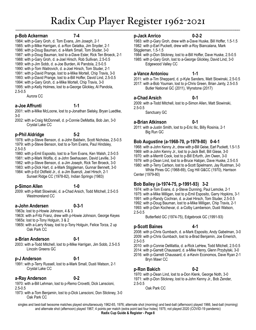# Radix Cup Player Register 1962-2021

––––––––––––––––––––––––––––––––––––––––––––––––––––––––––––––––––––––––––––––––––––––––––––––––--–

### **p-Bob Ackerman 7-4**

1984: with p-Gary Groh, d. Tom Evans, Jim Joseph, 2-1 1985: with p-Mike Harrigan, d. a-Ron Gelatka, Jim Snyder, 2-1 1986: with p-Doug Bauman, d. a-Mark Small, Tom Studer, 3-0 1987: with p-Doug Bauman, lost to a-Dave Esler, Rick Ten Broeck, 2-1 1988: with p-Gary Groh, d. a-Joel Hirsch, Rob Sullivan, 2.5-0.5 1989: with p-Jim Sobb, d. a-Joe Burden, Al Pandola, 2.5-0.5 1990: with p-Tom Waitrovich, d. a-Joel Hirsch, Tom Studer, 2-1 1991: with p-David Prange, lost to a-Mike Mortell, Chip Travis, 3-0 1993: with p-David Prange, lost to a-Bill Hoffer, David Lind, 2.5-0.5 1994: with p-Gary Groh, d. a-Mike Mortell, Chip Travis, 3-0 1995: with p-Kelly Holmes, lost to a-George Glickley, Al Pandola, 2.5-0.5 Aurora CC

### **a-Joe Affrunti 1-1**

2001: with a-Mike McLoone, lost to p-Jonathan Sielsky, Bryan Luedtke, 3-0

2002: with a-Craig McDonnell, d. p-Connie DeMattia, Bob Jan, 3-0 Crystal Lake CC

### **p-Phil Aldridge 5-2**

1978: with p-Steve Benson, d. a-John Baldwin, Scott Nicholas, 2.5-0.5 1979: with p-Steve Benson, lost to a-Tom Evans, Paul Hindsley, 2.5-0.5

1980: with p-Emil Esposito, lost to a-Tom Evans, Ken Walsh, 2.5-0.5

1981: with p-Mark Wolfla, d. a-John Seehausen, David Leville, 3-0

1982: with p-Steve Benson, d. a-Jim Joseph, Rick Ten Broeck, 3-0

1983: with p-Dick Hart, d. a-Mark Stiggleman, Gunnar Bennett, 3-0

1984: with p-Ed Oldfield Jr., d. a-Jim Buenzli, Joel Hirsch, 2-1 Sunset Ridge CC (1978-82), Indian Springs (1983)

## **p-Simon Allen 1-0**

2009: with p-Matt Slowinski, d. a-Chad Arsich, Todd Mitchell, 2.5-0.5 Westmoreland CC

### **a-John Andersen 0-3-1**

1963s: lost to p-Howie Johnson, 4 & 3

1963t: with a-Fritz Franz, drew with p-Howie Johnson, George Keyes 1965s: lost to p-Tony Holguin, 3 & 2

1965t: with a-Larry Kraay, lost to p-Tony Holguin, Felice Torza, 2 up Oak Park CC

# **a-Brian Anderson 0-1**

2003: with a-Todd Mitchell, lost to p-Mike Harrigan, Jim Sobb, 2.5-0.5 Lincoln Greens GC

# **p-J Anderson 0-1**

1991: with p-Terry Russell, lost to a-Mark Small, Dusti Watson, 2-1

Crystal Lake CC

# **a-Ray Anderson 0-2**

1970: with a-Bill Lehman, lost to p-Remo Crovetti, Dick Lanscioni, 2.5-0.5

1973: with a-Tom Benjamin, lost to p-Dick Lanscioni, Don Stickney, 3-0 Oak Park CC

# **p-Jack Anrico 0-2-2**

1983: with p-Gary Groh, drew with a-Dave Huske, Bill Hoffer, 1.5-1.5 1982: with p-Earl Puckett, drew with a-Roy Biancalana, Mark Stiggleman, 1.5-1.5

1984: with p-Don Stickney, lost to a-Bill Hoffer, Dave Huske, 2.5-0.5 1985: with p-Gary Groh, lost to a-George Glickley, David Lind, 3-0 Edgewood Valley CC

# **a-Vance Antoniou 1-1**

2011: with a-Tim Sheppard, d. p-Kyle Sanders, Matt Slowinski, 2.5-0.5 2017: with a-Bob Youman, lost to p-Chris Green, Brian Janty, 2.5-0.5 Butler National GC (2011), Wynstone (2017)

# **a-Chad Arsich 0-1**

2009: with a-Todd Mitchell, lost to p-Simon Allen, Matt Slowinski, 2.5-0.5

Sanctuary GC

# **a-Brian Atkinson 0-1**

2011: with a-Justin Smith, lost to p-Eric Ilic, Billy Rosinia, 2-1 Big Run GC

# **Bob Augustine (a-1968-70, p-1979-80) 0-4-1**

1968: with a-John Kenny Jr., drew with p-Bill Geise, Earl Puckett, 1.5-1.5 1969: with a-John Kenny Jr., lost to p-Jack Bell, Bill Giese, 3-0 1970: with a-Merritt Cook, lost to p-Bill Erfurth, Jim Owen, 3-0 1979: with p-Dean Lind, lost to a-Bruce Habjan, Dave Huske, 2.5-0.5 1980: with p-Terry Carlson, lost to a-Scott Spielmann, Jay Rustman, 3-0

 White Pines GC (1968-69), Cog Hill G&CC (1970), Harrison Center (1979-80)

# **Bob Bailey (a-1974-75, p-1991-93) 3-2**

1974: with a-Tom Evans, d. p-Steve Dunning, Paul Lemcke, 2-1 1975: with a-Mike Milligan, lost to p-Emil Esposito, Garry Hopkins, 3-1 1991: with p-Randy Cochran, d. a-Joel Hirsch, Tom Studer, 2.5-0.5 1992: with p-Doug Bauman, lost to a-Mike Milligan, Chip Travis, 2-1 1993: with p-Dan Kochevar, d. a-Colby Lamberson, Dusti Watson, 2.5-0.5

Butterfield GC (1974-75), Edgebrook GC (1991-93)

# **p-Scott Baines 4-1**

2008: with p-Chris Gumbach, d. a-Mark Esposito, Andy Gabelman, 3-0 2009: with p-Chris Gumbach, lost to a-Brad Benjamin, Joe Emerich, 2.5-0.5

2010: with p-Connie DeMattia, d. a-Rick LeHew, Todd Mitchell, 2.5-0.5 2014: with p-Garrett Chaussard, d. a-Mike Henry, Glenn Przybylski, 3-0

2016: with p-Garrett Chaussard, d. a-Kevin Economos, Dave Ryan 2-1 Bryn Mawr CC

# **p-Ron Bakich 0-2**

1970: with p-Dean Lind, lost to a-Don Klenk, George Noth, 3-0 1971: with p-Don Stickney, lost to a-John Kenny Jr., Bob Zender, 2.5-0.5

Oak Park CC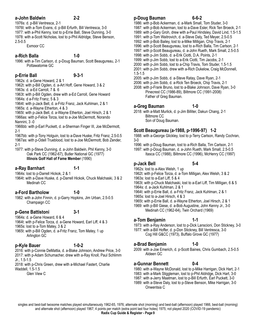### **a-John Baldwin 2-2**

1976s: d. p-Bill Ventresca, 2-1 1976t: with a-Tom Evans, d. p-Bill Erfurth, Bill Ventresca, 3-0 1977: with a-Phil Kenny, lost to p-Errie Ball, Steve Dunning, 3-0 1978: with a-Scott Nicholas, lost to p-Phil Aldridge, Steve Benson, 2.5-0.5

Exmoor CC

# **a-Rich Balla 1-0**

1996: with a-Tim Carlson, d. p-Doug Bauman, Scott Beaugureau, 2-1 Pottawatomie GC

# **p-Errie Ball 9-3-1**

1962s: d. a-Gene Howard, 2 & 1 1962t: with p-Bill Ogden, d. a-Art Hoff, Gene Howard, 3 & 2

1963s: d. a-Ed Carroll, 7 & 6

1963t: with p-Bill Ogden, drew with a-Ed Carroll, Gene Howard 1964s: d a-Fritz Franz, 5 & 3

1964t: with p-Jack Bell, d. a-Fritz Franz, Jack Kuhlman, 2 & 1 1965s: d. a-Wayne Etherton, 4 & 3

1965t: with p-Jack Bell, d. a-Wayne Etherton, Joel Hirsch, 2 & 1

1966as: with p-Felice Torza, lost to a-Joe McDermott, Norando Nannini, 3 -0

1966bb: with p-Earl Puckett, d. a-Sherman Finger III, Joe McDermott, 2-1

1967bb: with p-Tony Holguin, lost to a-Dave Huske, Fritz Franz, 2.5-0.5 1967as: with p-Odell Trueblood, lost to a-Joe McDermott, Bob Zender, 2-1

1977: with p-Steve Dunning, d. a-John Baldwin, Phil Kenny, 3-0 Oak Park CC (1962-67), Butler National GC (1977) **Illinois Golf Hall of Fame Member** (1990)

**a-Ray Barnhart** 1-1

1964s: lost to p-Darrell Hickok, 2 & 1 1964t: with a-Dave Huske, d. p-Darrell Hickok, Chuck Malchaski, 3 & 2 Medinah CC

# **a-Ford Bartholow 1-0**

1982: with a-John Finnin, d. p-Garry Hopkins, Jim Urban, 2.5-0.5 Champaign CC

# **p-Gene Battistoni 3-1**

1964s: d. a-Gene Howard, 6 & 4

1964t: with p-Felice Torza, d. a-Gene Howard, Earl Liff, 4 & 3 1965s: lost to a-Tom Matey, 3 & 2

1965t: with p-Bill Ogden, d. a-Fritz Franz, Tom Matey, 1 up Arlington GC

# **p-Kyle Bauer 1-0-2**

2016: with p-Connie DeMattia, d. a-Blake Johnson, Andrew Price, 3-0 2017: with p-Adam Schumacher, drew with a-Ray Knoll, Paul Schlimm Jr., 1.5-1.5

2018: with p-Chris Green, drew with a-Michael Fastert, Charlie Waddell, 1.5-1.5

Glen View C

# **p-Doug Bauman 6-6-2**

- 1986: with p-Bob Ackerman, d. a-Mark Small, Tom Studer, 3-0
- 1987: with p-Bob Ackerman, lost to a-Dave Esler, Rick Ten Broeck, 2-1
- 1989: with p-Gary Groh, drew with a-Paul Hindsley, David Lind, 1.5-1.5
- 1991: with p-Tom Waitrovich, d. a-Steve Daly, Ted Meyer, 2.5-0.5
- 1992: with p-Bob Bailey, lost to a-Mike Milligan, Chip Travis, 2-1
- 1996: with p-Scott Beaugureau, lost to a-Rich Balla, Tim Carlson, 2-1
- 1997: with p-Scott Beaugureau, d. a-John Rueth, Mark Small, 2.5-0.5 1998: with p-Jim Sobb, d. a-Erik Ciotti, D.A. Points, 2-1
- 1999: with p-Jim Sobb, lost to a-Erik Ciotti, Tim Jacobs, 2-1
- 2000: with p-Jim Sobb, lost to a-Chip Travis, Tom Studer, 1.5-1.5
- 2001: with p-Jim Sobb, drew with a-Rich Dukelow, Craig McDonnell, 1.5-1.5
- 2005: with p-Jim Sobb, d. a-Steve Ratay, Dave Ryan, 2-1
- 2006: with p-Jim Sobb, d. a-Rick Ten Broeck, Chip Travis, 2-1
- 2008: with p-Frank Bruno, lost to a-Blake Johnson, Dave Ryan, 3-0 Pinecrest CC (1986-89), Biltmore CC (1991-2008) Father of Greg Bauman.

# **a-Greg Bauman 1-0**

2018: with a-Matt Murlick, d. p-Jim Billiter, Dakun Chang, 2-1 Biltmore CC Son of Doug Bauman.

# **Scott Beaugureau (a-1988, p-1996-97) 1-2**

1988: with a-George Glickley, lost to p-Terry Carlson, Randy Cochran, 3-0

1996: with p-Doug Bauman, lost to a-Rich Balla, Tim Carlson, 2-1

1997: with p-Doug Bauman, d. a-John Rueth, Mark Small, 2.5-0.5 Itasca CC (1988), Biltmore CC (1996), McHenry CC (1997)

# **p-Jack Bell 5-4**

1962s: lost to a-Alex Welsh, 1 up 1962t: with p-Felice Torza, d. a-Tom Milligan, Alex Welsh, 3 & 2

1963s: lost to a-Earl Liff, 5 & 4

1963t: with p-Chuck Malchaski, lost to a-Earl Liff, Tim Milligan, 6 & 5 1964s: d. a-Jack Kuhlman, 2 & 1

1964t: with p-Errie Ball, d. a-Fritz Franz, Jack Kuhlman, 2 & 1

- 1965s: lost to a-Joel Hirsch, 4 & 3
- 1965t: with p-Errie Ball, d. a-Wayne Etherton, Joel Hirsch, 2 & 1
- 1969: with p-Bill Giese, d. a-Bob Augustine, John Kenny Jr., 3-0 Medinah CC (1962-64), Twin Orchard (1969)

# **a-Tom Benjamin 1-1**

1973: with a-Ray Anderson, lost to p-Dick Lanscioni, Don Stickney, 3-0 1977: with a-Bill Hoffer, d. p-Don Stickney, Bill Ventresca, 3-0 Cog Hill G&CC (1973), Buffalo Grove GC (1977)

# **a-Brad Benjamin 1-0**

2009: with a-Joe Emerich, d. p-Scott Baines, Chris Gumbach, 2.5-0.5 Aldeen GC

# **a-Gunnar Bennett 0-4**

1980: with a-Wayne McDonald, lost to p-Mike Harrigan, Dick Hart, 2-1 1983: with a-Mark Stiggleman, lost to p-Phil Aldridge, Dick Hart, 3-0 1987: with a-Jerry Maatman, lost to p-Bill Erfurth, Earl Puckett, 3-0 1989: with a-Steve Daly, lost to p-Steve Benson, Mike Harrigan, 3-0 Onwentsia C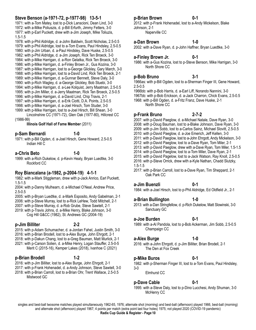### **Steve Benson (a-1971-72, p-1977-98) 13-5-1**

1971: with a-Tom Matey, lost to p-Dick Lanscioni, Dean Lind, 3-0 1972: with a-Mike Poliuszis, d. p-Bill Erfurth, Jimmy Fetters, 3-0 1977: with p-Earl Puckett, drew with a-Jim Joseph, Mike Toliuzis, 1.5-1.5

- 1978: with p-Phil Aldridge, d. a-John Baldwin, Scott Nicholas, 2.5-0.5 1979: with p-Phil Aldridge, lost to a-Tom Evans, Paul Hindsley, 2.5-0.5 1980: with p-Jim Urban, d. a-Paul Hindsley, Dave Huske, 2.5-0.5 1982: with p-Phil Aldridge, d. a-Jim Joseph, Rick Ten Broeck, 3-0 1984: with p-Mike Harrigan, d. a-Ron Gelatka, Rick Ten Broeck, 3-0 1986: with p-Mike Harrigan, d. a-Finley Brown Jr., Gus Kozina, 3-0 1987: with p-Mike Harrigan, lost to a-George Glickley, Gary March, 3-0 1988: with p-Mike Harrigan, lost to a-David Lind, Rick Ten Broeck, 2-1 1989: with p-Mike Harrigan, d. a-Gunnar Bennett, Steve Daly, 3-0 1990: with p-Rich Wagley, d. a-George Glickley, Bob Stuebi, 3-0 1994: with p-Mike Harrigan, d. a-Lee Kolquist, Jerry Maatman, 2.5-0.5 1995: with p-Jim Miller, d. a-Jerry Maatman, Rick Ten Broeck, 2.5-0.5 1996: with p-Mike Harrigan, d. a-David Lind, Chip Travis, 2-1
- 1997: with p-Mike Harrigan, d. a-Erik Ciotti, D.A. Points, 2.5-0.5
- 1998: with p-Mike Harrigan, d. a-Joel Hirsch, Tom Studer, 3-0
- 1999: with p-Mike Harrigan, lost to a-Joel Hirsch, Bill Shean, 3-0 Lincolnshire CC (1971-72), Glen Oak (1977-80), Hillcrest CC (1986-99)

### **Illinois Golf Hall of Fame Member** (2011)

### **p-Sam Bernardi 1-0**

1971: with p-Bill Ogden, d. a-Joel Hirsch, Gene Howard, 2.5-0.5 Indian Hill C

### **a-Chris Beto 1-0**

1999: with a-Rich Dukelow, d. p-Kevin Healy, Bryan Luedtke, 3-0 Rockford CC

### **Roy Biancalana (a-1982, p-2004-19) 4-1-1**

1982: with a-Mark Stiggleman, drew with p-Jack Anrico, Earl Puckett, 1.5-1.5

2004: with p-Danny Mulhearn, d. a-Michael O'Neal, Andrew Price, 2.5-0.5

2005: with p-Bryan Luedtke, d. a-Mark Esposito, Andy Gabelman, 2-1 2006: with p-Steve Murray, lost to a-Rick LeHew, Todd Mitchell, 2-1

2007: with p-Steve Murray, d. a-Rob Grube, Steve Sawtell, 2-1

2019: with p-Travis Johns, d. a-Mike Henry, Blake Johnson, 3-0

Cog Hill G&CC (1982), St. Andrews GC (2004-19)

### **p-Jim Billiter 2-2**

2015: with p-Adam Schumacher, d. a-Jordan Fahel, Justin Smith, 3-0 2016: with p-Brian Brodell, lost to a-Alex Burge, John Ehrgott, 2-1 2018: with p-Dakun Chang, lost to a-Greg Bauman, Matt Murlick, 2-1 2021: with p-Carson Solien, d. a-Mike Henry, Logan Stauffer, 2.5-0-5 Merit C (2015-16), Kemper Lakes (2018), Ivanhoe C (2021)

### **p-Brian Brodell 1-2**

2016: with p-Jim Billiter, lost to a-Alex Burge, John Ehrgott, 2-1 2017: with p-Frank Hohenadel, d. a-Andy Johnson, Steve Sawtell, 3-0 2018: with p-Brian Carroll, lost to a-Brian Ohr, Trent Wallace, 2.5-0.5 Mistwood GC

### **p-Brian Brown 0-1**

2012: with p-Frank Hohenadel, lost to a-Andy Mickelson, Blake Johnson, 2-1

Naperville CC

### **a-Dan Brown 1-0**

2002: with a-Dave Ryan, d. p-John Haffner, Bryan Luedtke, 3-0

### **a-Finley Brown Jr. 0-1**

1986: with a-Gus Kozina, lost to p-Steve Benson, Mike Harrigan, 3-0 North Shore CC

### **p-Bob Bruno 3-1**

1966as: with p-Bill Ogden, lost to a-Sherman Finger III, Gene Howard, 2.5-0.5

1966bb: with p-Bob Harris, d. a-Earl Liff, Norando Nannini, 3-0

1967bb: with p-Bob Erickson, d. a-Jack Charron, Chick Evans, 2.5-0.5 1968: with p-Bill Ogden, d. a-Fritz Franz, Dave Huske, 2-1

North Shore CC

### **p-Frank Bruno 2-7-2**

2007: with p-David Paeglow, d. a-Michael Natale, Dave Ryan, 3-0 2008: with p-Doug Bauman, lost to a-Blake Johnson, Dave Ryan, 3-0 2009: with p-Jim Sobb, lost to a-Carlos Sainz, Michael Slovitt, 2.5-0.5 2010: with p-David Paeglow, d. a-Joe Emerich, Jeff Kellen, 3-0 2011: with p-David Paeglow, lost to a-John Ehrgott, Andy Mickelson, 3-0 2012: with p-David Paeglow, lost to a-Dave Ryan, Tom Miler, 2-1 2013: with p-David Paeglow, drew with a-Dave Ryan, Tom Miler, 1.5-1.5 2014: with p-David Paeglow, lost to a-Tom Miler, Dave Ryan, 2-1 2015: with p-David Pagelow, lost to a-Jack Watson, Ray Knoll, 2.5-0.5 2016: with p-Steve Orrick, drew with a-Kyle Nathan, Chadd Slutzky, 1.5-1.5 2017: with p-Brian Carroll, lost to a-Dave Ryan, Tim Sheppard, 2-1

# Oak Park CC

**a-Jim Buenzli 0-1**  1984: with a-Joel Hirsch, lost to p-Phil Aldridge, Ed Oldfield Jr., 2-1

### **a-Brian Bullington 1-0**

2013: with a-Dan Stringfellow, d. p-Rich Dukelow, Matt Slowinski, 3-0 Sanctuary GC

### **a-Joe Burden 0-1**

1989: with a-Al Pandola, lost to p-Bob Ackerman, Jim Sobb, 2.5-0.5 Champaign CC

### **a-Alex Burge 1-0**

2016: with a-John Ehrgott, d. p-Jim Billiter, Brian Brodell, 2-1 The Den at Fox Creek

### **p-Mike Buros 0-1**

- 1982: with p-Sherman Finger III, lost to a-Tom Evans, Paul Hindsley, 3-0
	- Elmhurst CC

### **p-Dave Cable 6-1**

1995: with a-Steve Daly, lost to p-Dino Lucchesi, Andy Shuman, 3-0 McHenry CC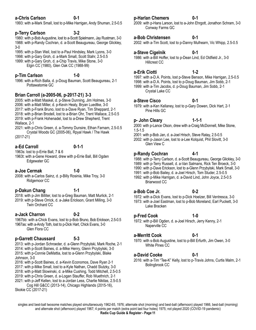# 1993: with a-Mark Small, lost to p-Mike Harrigan, Andy Shuman, 2.5-0.5

**a-Chris Carlson 0-1** 

# **p-Terry Carlson 3-2**

1980: with p-Bob Augustine, lost to a-Scott Spielmann, Jay Rustman, 3-0 1988: with p-Randy Cochran, d. a-Scott Beaugureau, George Glickley, 3-0

1995: with p-Stan Weil, lost to a-Paul Hindsley, Mark Lyons, 3-0 1998: with p-Gary Groh, d. a-Mark Small, Scott Stahr, 2.5-0.5 1999: with p-Gary Groh, d. a-Chip Travis, Mike Stone, 3-0 Elgin CC (1980), Glen Oak CC (1988-99)

**p-Tim Carlson 1-0** 

1996: with a-Rich Balla, d. p-Doug Bauman, Scott Beaugureau, 2-1 Pottawatomie GC

### **Brian Carroll (a-2005-06, p-2017-21) 3-3**

2005: with a-Matt Maskel, d. p-Steve Dunning, Jim Holmes, 3-0 2006: with a-Matt Miller, d. p-Kevin Healy, Bryan Luedtke, 3-0 2017: with p-Frank Bruno, lost to a-Dave Ryan, Tim Sheppard, 2-1 2018: with p-Brian Brodell, lost to a-Brian Ohr, Trent Wallace, 2.5-0.5 2019: with p-Frank Hohenadel, lost to a-Drew Shepherd, Trent Wallace, 2-1

2021: with p-Chris Green, d. a-Tommy Dunsire, Ethan Farnam, 2.5-0.5 Crystal Woods GC (2005-06), Rpyal Hawk / The Hawk (2017-21)

### **a-Ed Carroll 0-1-1**

1963s: lost to p-Errie Ball, 7 & 6

1963t: with a-Gene Howard, drew with p-Errie Ball, Bill Ogden Edgewater GC

**a-Joe Cermak 1-0** 

2008: with a-Carlos Sainz, d. p-Billy Rosinia, Mike Troy, 3-0 Ridgemoor CC

### **p-Dakun Chang 1-1**

2018: with p-Jim Billiter, lost to a-Greg Bauman, Matt Murlick, 2-1 2019: with p-Steve Orrick, d. a-Jake Erickson, Grant Milling, 3-0 Twin Orchard CC

# **a-Jack Charron 0-2**

1967bb: with a-Chick Evans, lost to p-Bob Bruno, Bob Erickson, 2.5-0.5 1967as: with a-Andy Toth, lost to p-Dick Hart, Chick Evans, 3-0 Glen Flora CC

# **p-Garrett Chaussard 5-3**

2013: with p-Jordan Schroeder, d. a-Glenn Przybylski, Mark Roche, 2-1 2014: with p-Scott Baines, d. a-Mike Henry, Glenn Przybylski, 3-0 2015: with p-Connie DeMattia, lost to a-Glenn Przybylski, Blake Johnson, 3-0

2016: with p-Scott Baines, d. a-Kevin Economos, Dave Ryan 2-1

2017: with p-Mike Small, lost to a-Kyle Nathan, Chadd Slutzky, 3-0

2018: with p-Matt Slowinski, d. a-Mike Cushing, Todd Mitchell, 2.5-0.5

2019: with p-Chris Green, d. a-Logan Stauffer, Rob Wuethrich, 2-1

2021: with p-Jeff Kellen, lost to a-Jordan Less, Charlie Nikitas, 2.5-0.5

 Cog Hill G&CC (2013-14), Chicago Highlands (2015-16), Skokie CC (2017-21)

# **p-Harlan Chemers 0-1**

2009: with p-Hans Larson, lost to a-John Ehrgott, Jonathon Schram, 3-0 Conway Farms GC

# **a-Bob Christensen 0-1**

2002: with a-Tim Scott, lost to p-Danny Mulhearn, Vic Whipp, 2.5-0.5

### **a-Steve Cigelnik 0-1**

### **a-Erik Ciotti 1-2**

1997: with a-D.A. Points, lost p-Steve Benson, Mike Harrigan, 2.5-0.5 1998: with a-D.A. Points, lost to p-Doug Bauman, Jim Sobb, 2-1 1999: with a-Tim Jacobs, d. p-Doug Bauman, Jim Sobb, 2-1 Crystal Lake CC

### **a-Steve Cisco 0-1**

1979: with a-Ken Kellaney, lost to p-Gary Dowen, Dick Hart, 2-1 Pine Hills GC

# **p- John Cleary 1-1-1**

2000: with p-Lance Olson, drew with a-Craig McDonnell, Mike Stone, 1.5-1.5

2001: with p-Bob Jan, d. a-Joel Hrisch, Steve Ratay, 2.5-0.5 2002: with p-Jason Lee, lost to a-Lee Kolquist, Phil Slovitt, 3-0 Glen View C

## **p-Randy Cochran 4-1**

1988: with p-Terry Carlson, d. a-Scott Beaugureau, George Glickley, 3-0

1989: with p-Terry Russell, d. a-Van Salmans, Rick Ten Broeck, 3-0 1990: with p-Dave Erickson, lost to a-Glenn Przybylski, Mark Small, 3-0

- 
- 1991: with p-Bob Bailey, d. a-Joel Hirsch, Tom Studer, 2.5-0.5 1992: with p-Mike Harrigan, d. a-David Lind, John Joyce, 2.5-0.5 Briarwood CC

## **a-Bob Coe Jr. 0-2**

1972: with a-Dick Evans, lost to p-Dick Hoelzer, Bill Ventresca, 3-0 1973: with a-Joel Eastman, lost to p-Bob Moreland, Earl Puckett, 3-0 Lake Bracken

### **p-Fred Cook 1-0**

1972: with p-Bill Ogden, d. a-Joel Hirsch, Jerry Kenny, 2-1 Naperville CC

### **a-Merritt Cook 0-1**

1970: with s-Bob Augustine, lost to p-Bill Erfurth, Jim Owen, 3-0 White Pines CC

## **a-David Cooke 0-1**

2016: with a-Tim "Tee-K" Kelly, lost to p-Travis Johns, Curtis Malm, 2-1 Bolingbrook CC

<sup>1986:</sup> with a-Bill Hoffer, lost to p-Dean Lind, Ed Oldfield Jr., 3-0 Hillcrest CC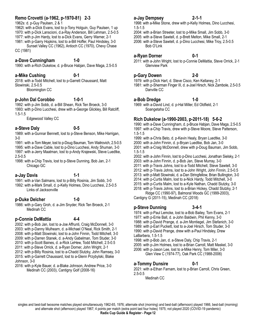# **Remo Crovetti (a-1962, p-1970-81) 2-3**

1962s: d. p-Guy Paulsen, 2 & 1

1962t: with a-Dick Evans, lost to p-Tony Holguin, Guy Paulsen, 1 up 1970: with p-Dick Lanscioni, d.a-Ray Anderson, Bill Lehman, 2.5-0.5 1977: with p-Jim Hardy, lost to a-Dick Evans, Gerry Warner, 2-1 1981: with p-Garry Hopkins, lost to a-Bill Hoffer, Paul Hindsley, 3-0

 Sunset Valley CC (1962), Antioch CC (1970), Chevy Chase CC (1981)

### **a-Dave Cunningham 1-0**

1990: with a-Rich Dukelow, d. p-Bruce Habjan, Dave Maga, 2.5-0.5

### **a-Mike Cushing 0-1**

2018: with a-Todd Mitchell, lost to p-Garrett Chaussard, Matt Slowinski, 2.5-0.5 Bloomington CC

### **p-John Dal Corobbo 1-0-1**

1992: with p-Jim Sobb, d. a-Bill Shean, Rick Ten Broeck, 3-0 1993: with p-Dino Lucchesi, drew with a-George Glickley, Bill Ratcliff, 1.5-1.5

Edgewood Valley CC

### **a-Steve Daly 0-5**

1989: with a-Gunnar Bennett, lost to p-Steve Benson, Mike Harrigan, 3-0

1991: with a-Tom Meyer, lost to p-Doug Bauman, Tom Waitrovich, 2.5-0.5 1995: with a-Dave Cable, lost to p-Dino Lucchesi, Andy Shuman, 3-0 1997: with a-Jerry Maatman, lost to p-Andy Krajewski, Steve Luedtke, 2.5-0.5

1998: with a-Chip Travis, lost to p-Steve Dunning, Bob Jan, 2-1 Chicago GC

### **a-Jay Davis 1-1**

1991: with a-Van Salmans, lost to p-Billy Rosinia, Jim Sobb, 3-0 1992: with a-Mark Small, d. p-Kelly Holmes, Dino Lucchesi, 2.5-0.5 Links of Jacksonville

**p-Duke Delcher 1-0** 

1986: with p-Gary Groh, d. a-Jim Snyder, Rick Ten Broeck, 2-1 Medinah CC

### **p-Connie DeMattia 4-4**

2002: with p-Bob Jan, lost to a-Joe Affrunti, Craig McDonnell, 3-0 2003: with p-Danny Mulhearn, d. a-Michael O'Neal, Rick Smith, 2-1 2008: with p-Matt Slowinski, lost to a-John Finnin, Todd Mitchell, 3-0 2009: with p-Darren Stanek, d. a-Andy Gabelman, Tom Studer, 3-0 2010: with p-Scott Baines, d. a-Rick LeHew, Todd Mitchell, 2.5-0.5 2011: with p-Steve Orrick, d. a-Ryan Dorner, John Wright, 2-1 2012: with p-Billy Rosinia, lost to a-Chadd Slutzky, John Ramsey, 3-0 2015: with p-Garrett Chaussard, lost to a-Glenn Przybylski, Blake Johnson, 3-0

2016: with p-Kyle Bauer, d. a-Blake Johnson, Andrew Price, 3-0 Medinah CC (2003), Cantigny Golf (2008-16)

### **a-Jay Dempsey 2-1-1**

1998: with a-Mike Stone, drew with p-Kelly Holmes, Dino Lucchesi, 1.5-1.5

2004: with a-Brian Streeter, lost to p-Mike Small, Jim Sobb, 3-0

- 2005: with a-Steve Sawtell, d. p-Brett Melton, Mike Small, 2-1
- 2006: with a-Steve Sawtell, d. p-Dino Lucchesi, Mike Troy, 2.5-0.5 Bob O'Link

### **a-Ryan Dorner 0-1**

### **p-Gary Dowen 2-0**

1979: with p-Dick Hart, d. Steve Cisco, Ken Kellaney, 2-1

1981: with p-Sherman Finger III, d. a-Joel Hirsch, Nick Zambole, 2.5-0.5 Danville CC

### **a-Bob Dredge 1-0**

1969: with a-David Lind, d. p-Hal Miller, Ed Oldfield, 2-1 Soangetaha CC

### **Rich Dukelow (a-1990-2003, p-2011-18) 5-6-2**

1990: with a-Dave Cunningham, d. p-Bruce Habjan, Dave Maga, 2.5-0.5 1997: with a-Chip Travis, drew with p-Steve Moore, Steve Patterson, 1.5-1.5 1999: with a-Chris Beto, d. p-Kevin Healy, Bryan Luedtke, 3-0

2000: with a-John Finnin, d. p-Bryan Luedtke, Bob Jan, 3-0 2001: with a-Craig McDonnell, drew with p-Doug Bauman, Jim Sobb, 1.5-1.5

2002: with a-John Finnin, lost to p-Dino Lucchesi, Jonathan Sielsky, 2-1 2003: with a-John Finnin, d. p-Bob Jan, Steve Murray, 3-0

2011: with p-Travis Johns, lost to a-Todd Mitchell, Steve Sawtell, 3-0

- 2012: with p-Travis Johns, lost to a-John Wright, John Finnin, 2.5-0.5
- 2013: with p-Matt Slowinski, d. a-Dan Stringfellow, Brian Bullington, 3-0
- 2014: with p-Curtis Malm, lost to a-Nick Hardy, Todd Mitchell, 3-0
- 2015: with p-Curtis Malm, lost to a-Kyle Nathan, Chadd Slutzky, 3-0 2018: with p-Travis Johns, lost to a-Brian Hickey, Chadd Slutzky, 2-1 Ridge CC (1990-97), Balmoral Woods GC (1999-2003),

Cantigny G (2011-15), Medinah CC (2018)

### **p-Steve Dunning 3-4-1**

1974: with p-Paul Lemcke, lost to a-Bob Bailey, Tom Evans, 2-1 1977: with p-Errie Ball, d. a-John Baldwin, Phil Kenny, 3-0 1988: with p-David Prange, d. a-Jim Montiegel, Jim Stefanich, 3-0 1989: with p-Earl Puckett, lost to a-Joel Hirsch, Tom Studer, 3-0 1990: with p-David Prange, drew with a-Paul Hindsley, Drew LaBarbera, 1.5-1.5

1998: with p-Bob Jan, d. a-Steve Daly, Chip Travis, 2-1 2005: with p-Jim Holmes, lost to a-Brian Carroll, Matt Maskel, 3-0 2006: with p-Jason Lee, lost to a-Mike Henry, Tom Miler, 3-0 Glen View C (1974-77), Oak Park CC (1988-2006)

## **a-Tommy Dunsire 0-1**

2021: with a-Ethan Farnam, lost to p-Brian Carroll, Chris Green, 2.5-0.5

Medinah CC

<sup>2011:</sup> with a-John Wright, lost to p-Connie DeMattia, Steve Orrick, 2-1 Glenview Park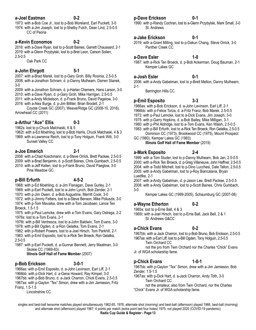### 1973: with a-Bob Coe Jr., lost to p-Bob Moreland, Earl Puckett, 3-0 1974: with a-Jim Joseph, lost to p-Shelby Futch, Dean Lind, 2.5-0.5 CC of Peoria

# **a-Kevin Economos 0-2**

2016: with a-Dave Ryan, lost to p-Scott Baines, Garrett Chaussard, 2-1 2019: with a-Glenn Przybylski, lost to p-Bret Leon, Carson Solien, 2.5-0.5

Oak Park CC

# **a-John Ehrgott 5-1**

2007: with a-Brad Marek, lost to p-Gary Groh, Billy Rosinia, 2.5-0.5 2008: with a-Jonathon Schram, d. p-Danny Mulhearn, Darren Stanek, 3-0

2009: with a-Jonathon Schram, d. p-Harlan Chemers, Hans Larson, 3-0 2010: with a-Dave Ryan, d. p-Gary Groh, Mike Harrigan, 2.5-0.5 2011: with a-Andy Mickelson, d. p-Frank Bruno, David Pagelow, 3-0 2016: with a-Alex Burge, d. p-Jim Billiter, Brian Brodell, 2-1

 Coyote Creek GC (2007), WeaverRidge GC (2008-10, 2016), Arrowhead CC (2011)

# **a-Arthur "Ace" Ellis 0-3**

1962s: lost to p-Chuck Malchaski, 6 & 5

1962t: with a-Ed Moehling, lost to p-Bob Harris, Chuck Malchaski, 4 & 3 1969: with a-Lawrence Reich, lost to p-Tony Holguin, Frank Witt, 3-0 Sunset Valley CC

### **a-Joe Emerich 2-1**

### 2008: with a-Chad Koschmann, d. p-Steve Orrick, Brett Packee, 2.5-0.5 2009: with a-Brad Benjamin, d. p-Scott Baines, Chris Gumbach, 2.5-0.5 2010: with a-Jeff Kellen, lost to p-Frank Bruno, David Paeglow, 3-0 Pine Meadow GC

### **p-Bill Erfurth 4-5-2**

# 1968: with p-Ed Moehling, d. a-Jim Flanagan, Dave Gurley, 2-1

1969: with p-Earl Puckett, lost to a-John Lynch, Bob Zender, 2-1

1970: with p-Jim Owen, d. a-Bob Augustine, Merritt Cook, 3-0 1972: with p-Jimmy Fetters, lost to a-Steve Benson, Mike Poliuszis, 3-0 1974: with p-Tom Mavaika, drew with a-Tom Jacobsen, Lance Ten Broeck, 1.5-1.5

1975: with p-Paul Lemcke, drew with a-Tom Evans, Gary Ostrega, 2-2 1976s: lost to a-Tom Evans, 2-1

1976t: with p-Bill Ventresca, lost to a-John Baldwin, Tom Evans, 3-0 1978: with p-Bill Ogden, d. a-Ron Gelatka, Tom Evans, 2-1

1982: with p-Robert Powers, lost to a-Joel Hirsch, Tom Parkhill, 2-1 1983: with p-Emil Esposito, lost to a-Rick Ten Broeck, Ron Gelatka, 2.5-0.5

1987: with p-Earl Puckett, d. a-Gunnar Bennett, Jerry Maatman, 3-0 Skokie CC (1969-83)

**Illinois Golf Hall of Fame Member** (2007)

# **p-Bob Erickson 3-0-1**

1966as: with p-Emil Esposito, d. a-John Levinson, Earl Liff, 2-1 1966bb: with p-Dick Hart, d. a-Gene Howard, Ray Kimpel, 3-0 1967bb: with p-Bob Bruno, d. a-Jack Charron, Chick Evans, 2.5-0.5 1967as: with p-Gaylon "Tex" Simon, drew with a-Jim Jamieson, Fritz Franz, 1.5-1.5

Lincolnshire CC

## **p-Dave Erickson 0-1**

1990: with p-Randy Cochran, lost to a-Glenn Przybylski, Mark Small, 3-0 St. Andrews

## **a-Jake Erickson 0-1**

2019: with a-Grant Milling, lost to p-Dakun Chang, Steve Orrick, 3-0 Panther Creek CC

### **a-Dave Esler 1-0**

1987: with a-Rick Ten Broeck, d. p-Bob Ackerman, Doug Bauman, 2-1 Kemper Lakes GC

### **a-Josh Esler 0-1**

2006: with a-Andy Gabelman, lost to p-Brett Melton, Danny Mulhearn,  $2 - 1$ 

Barrington Hills CC

# **p-Emil Esposito 3-3**

1966as: with p-Bob Erickson, d. a-John Levinson, Earl Liff, 2-1 1966bb: with p-Felice Torza, d. a-Fritz Franz, Bob Marek, 2.5-0.5 1973: with p-Paul Lemcke, lost to a-Dick Evans, Jim Joseph, 3-0 1975: with p-Garry Hopkins, d. a-Bob Bailey, Mike Milligan, 3-1 1980: with p-Phil Aldridge, lost to a-Tom Evans, Ken Walsh, 2.5-0.5

1983: with p-Bill Erfurth, lost to a-Rick Ten Broeck, Ron Gelatka, 2.5-0.5 Dominion CC (1973), Brookwood CC (1975), Mount Prospect

GC (1980), Kemper Lakes GC (1983)

## **Illinois Golf Hall of Fame Member** (2019)

# **a-Mark Esposito 2-4**

1999: with a-Tom Studer, lost to p-Danny Mulhearn, Bob Jan, 2.5-0.5 2000: with a-Rick Ten Broeck, d. p-Greg Villeneuve, John Haffner, 2.5-0.5 2004: with a-Todd Mitchell, lost to p-Dino Lucchesi, Dale Tallon, 2.5-0.5 2005: with a-Andy Gabelman, lost to p-Roy Biancalana, Bryan Luedtke, 2-1

2007: with a-Andy Gabelman, d. p-Jason Lee, Brett Packee, 2.5-0.5 2008: with a-Andy Gabelman, lost to p-Scott Baines, Chris Gumbach, 3-0

Kemper Lakes GC (1999-2005), Schaumburg GC (2007-08)

# **a-Wayne Etherton 0-2**

1965s: lost to p-Errie Ball, 4 & 3 1965t: with a-Joel Hirsch, lost to p-Errie Ball, Jack Bell, 2 & 1 St. Andrews G&CC

### **a-Chick Evans 0-2**

1967bb: with a-Jack Charron, lost to p-Bob Bruno, Bob Erickson, 2.5-0.5 1967as: with a-Earl Liff, lost to p-Bill Ogden, Tony Holguin, 2.5-0.5 Twin Orchard CC

 not the pro from Twin Orchard nor the Charles "Chick" Evans Jr. of WGA scholarship fame.

## **p-Chick Evans 1-0-1**

1967bb: with p-Gaylon "Tex" Simon, drew with a-Jim Jamieson, Bob Zender, 1.5-1.5

1967as: with p-Dick Hart, d. a-Jack Charron, Andy Toth, 3-0 Twin Orchard CC

 not the amateur, also from Twin Orchard, nor the Charles "Chick" Evans Jr. of WGA scholarship fame.

singles and best-ball twosome matches played simultaneously 1962-65, 1976; alternate shot (morning) and best-ball (afternoon) played 1966, best-ball (morning) and alternate shot (afternoon) played 1967; 4 points per match (extra point last four holes) 1975; not played 2020 (COVID-19 pandemic) **Radix Cup Guide & Register - Page 13**

## **a-Joel Eastman 0-2**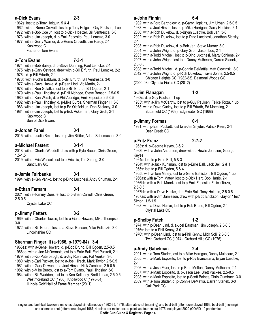# **a-Dick Evans 2-3**

1962s: lost to p-Tony Holguin, 5 & 4 1962t: with a-Remo Crovetti, lost to p-Tony Holguin, Guy Paulsen, 1 up 1972: with a-Bob Coe Jr., lost to p-Dick Hoelzer, Bill Ventresca, 3-0

1973: with a-Jim Joseph, d. p-Emil Esposito, Paul Lemcke, 3-0

1977: with a-Gerry Warner, d. p-Remo Crovetti, Jim Hardy, 2-1 Knollwood C

Father of Tom Evans

### **a-Tom Evans 7-3-1**

1974: with a-Bob Bailey, d. p-Steve Dunning, Paul Lemcke, 2-1 1975: with a-Gary Ostrega, drew with p-Bill Erfurth, Paul Lemcke, 2-2 1976s: d. p-Bill Erfurth, 2-1

1976t: with a-John Baldwin, d. p-Bill Erfurth, Bill Ventresca, 3-0

1977: with a-Dave Huske, d. p-Dean Lind, Vic Martin, 2-1

1978: with a-Ron Gelatka, lost to p-Bill Erfurth, Bill Ogden, 2-1

1979: with a-Paul Hindsley, d. p-Phil Aldridge, Steve Benson, 2.5-0.5

1980: with a-Ken Walsh, d. p-Phil Aldridge, Emil Esposito, 2.5-0.5

- 1982: with a-Paul Hindsley, d. p-Mike Buros, Sherman Finger III, 3-0
- 1983: with a-Jim Joseph, lost to p-Ed Oldfield Jr., Don Stickney, 3-0
- 1984: with a-Jim Joseph, lost to p-Bob Ackerman, Gary Groh, 2-1 Knollwood C

Son of Dick Evans

### **a-Jordan Fahel 0-1**

2015: with a-Justin Smith, lost to p-Jim Billiter, Adam Schumacher, 3-0

## **a-Michael Fastert 0-1-1**

2018: with a-Charlie Waddell, drew with p-Kyle Bauer, Chris Green, 1.5-1.5

2019: with a-Eric Wessel, lost to p-Eric Ilic, Tim Streng, 3-0 Sanctuary GC

### **a-Jamie Fairbanks 0-1**

1994: with a-Ken Vanko, lost to p-Dino Lucchesi, Andy Shuman, 2-1

### **a-Ethan Farnam 0-1**

2021: with a-Tommy Dunsire, lost to p-Brian Carroll, Chris Green, 2.5-0.5

Crystal Lake CC

### **p-Jimmy Fetters 0-2**

1969: with p-Charles Tawse, lost to a-Gene Howard, Mike Thompson, 3-0

1972: with p-Bill Erfurth, lost to a-Steve Benson, Mike Poliuszis, 3-0 Lincolnshire CC

## **Sherman Finger III (a-1966, p-1979-84) 3-4**

1966as: with a-Gene Howard, d. p-Bob Bruno, Bill Ogden, 2.5-0.5 1966bb: with a-Joe McDermott, lost to p-Errie Ball, Earl Puckett, 2-1 1979: with p-Kip Puterbaugh, d. a-Jay Rustman, Pat Venker, 3-0 1980: with p-Earl Puckett, lost to a-Joel Hirsch, Mark Taylor, 2.5-0.5 1981: with p-Gary Dowen, d. a-Joel Hirsch, Nick Zambole, 2.5-0.5 1982: with p-Mike Buros, lost to a-Tom Evans, Paul Hindsley, 3-0 1984: with p-Bill Wadden, lost to a-Ken Kellaney, Brett Lucas, 2.5-0.5

 Westmoreland CC (1966), Knollwood C (1978-84) **Illinois Golf Hall of Fame Member** (2011)

## **a-John Finnin 6-4**

1982: with a-Ford Bartholow, d. p-Garry Hopkins, Jim Urban, 2.5-0.5 1983: with a-Joel Hirsch, lost to p-Mike Harrigan, Garry Hopkins, 2-1

2000: with a-Rich Dukelow, d. p-Bryan Luedtke, Bob Jan, 3-0

2002: with a-Rich Dukelow, lost to p-Dino Lucchesi, Jonathan Sielsky, 2-1

- 2003: with a-Rich Dukelow, d. p-Bob Jan, Steve Murray, 3-0
- 2004: with a-John Wright, d. p-Gary Groh, Jason Lee, 2-1

2005: with a-Todd Mitchell, lost to p-Dino Lucchesi, Marty Schiene, 2-1 2007: with a-John Wright, lost to p-Danny Mulhearn, Darren Stanek, 2.5-0.5

2008: with a-Todd Mitchell, d. p-Connie DeMattia, Matt Slowinski, 3-0 2012: with a-John Wright, d. p-Rich Dukelow, Travis Johns, 2.5-0.5 Chicago Heights CC (1982-83), Balmoral Woods GC

(2000-08), Olympia Fields CC (2012)

### **a-Jim Flanagan 1-2**

1963s: d. p-Guy Paulsen, 1 up

1963t: with a-Jim McCarthy, lost to p-Guy Paulsen, Felice Torza, 1 up 1968: with a-Dave Gurley, lost to p-Bill Erfurth, Ed Moehling, 2-1 Butterfield CC (1963), Edgewater GC (1968)

### **p-Jimmy Formas 0-1**

1981: with p-Earl Puckett, lost to a-Jim Snyder, Patrick Keen, 2-1 Deer Creek GC

### **a-Fritz Franz 2-7-2**

1963s: d. p-George Keyes, 3 & 2

1963t: with a-John Andersen, drew with p-Howie Johnson, George Keyes

1964s: lost to p-Errie Ball, 5 & 3

1964t: with a-Jack Kuhlman, lost to p-Errie Ball, Jack Bell, 2 & 1 1965s: lost to p-Bill Ogden, 5 & 4

1965t: with a-Tom Matey, lost to p-Gene Battistoni, Bill Ogden, 1 up 1966as: with a-Tom Matey, lost to p-Dick Hart, Bob Harris, 2-1 1966bb: with a-Bob Marek, lost to p-Emil Esposito, Felice Torza,

2.5-0.5

1967bb: with a-Dave Huske, d. p-Errie Ball, Tony Holguin, 2.5-0.5 1967as: with a-Jim Jamieson, drew with p-Bob Erickson, Gaylon "Tex" Simon, 1.5-1.5

1968: with a-Dave Huske, lost to p-Bob Bruno, Bill Ogden, 2-1 Crystal Lake CC

## **p-Shelby Futch 1-2**

1974: with p-Dean Lind, d. a-Joel Eastman, Jim Joseph, 2.5-0.5 1976s: lost to a-Phil Kenny, 3-0

1976t: with p-Dean Lind, lost to a-Phil Kenny, Mick Soli, 2.5-0.5 Twin Orchard CC (1974), Orchard Hills GC (1976)

## **a-Andy Gabelman 2-4**

2001: with a-Tom Studer, lost to p-Mike Harrigan, Danny Mulhearn, 2-1 2005: with a-Mark Esposito, lost to p-Roy Biancalana, Bryan Luedtke, 2-1

2006: with a-Josh Esler, lost to p-Brett Melton, Danny Mulhearn, 2-1 2007: with a-Mark Esposito, d. p-Jason Lee, Brett Packee, 2.5-0.5 2008: with a-Mark Esposito, lost to p-Scott Baines, Chris Gumbach, 3-0 2009: with a-Tom Studer, d. p-Connie DeMattia, Darren Stanek, 3-0 Oak Park CC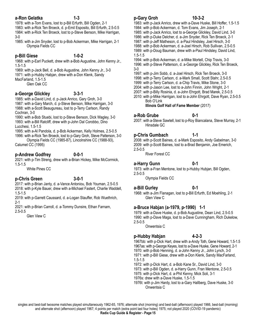# **a-Ron Gelatka 1-3**

1978: with a-Tom Evans, lost to p-Bill Erfurth, Bill Ogden, 2-1

1983: with a-Rick Ten Broeck, d. p-Emil Esposito, Bill Erfurth, 2.5-0.5 1984: with a-Rick Ten Broeck, lost to p-Steve Benson, Mike Harrigan, 3-0

1985: with a-Jim Snyder, lost to p-Bob Ackerman, Mike Harrigan, 2-1 Olympia Fields CC

# **p-Bill Giese 1-0-2**

1968: with p-Earl Puckett, drew with a-Bob Augustine, John Kenny Jr., 1.5-1.5

1969: with p-Jack Bell, d. a-Bob Augustine, John Kenny Jr., 3-0 1971: with p-Hubby Habjan, drew with a-Don Klenk, Sandy MacFarland, 1.5-1.5

Glen Oak CC

# **a-George Glickley 3-3-1**

1985: with a-David Lind, d. p-Jack Anrico, Gary Groh, 3-0 1987: with a-Gary March, d. p-Steve Benson, Mike Harrigan, 3-0 1988: with a-Scott Beaugureau, lost to p-Terry Carlson, Randy Cochran, 3-0

1990: with a-Bob Stuebi, lost to p-Steve Benson, Dick Wagley, 3-0 1993: with a-Bill Ratcliff, drew with p-John Dal Corobbo, Dino Lucchesi, 1.5-1.5

1995: with a-Al Pandola, d. p-Bob Ackerman, Kelly Holmes, 2.5-0.5 1996: with a-Rick Ten Broeck, lost to p-Gary Groh, Steve Patterson, 3-0

 Olympia Fields CC (1985-87), Lincolnshire CC (1988-93), Calumet CC (1995)

# **p-Andrew Godfrey 0-0-1**

2021: with p-Tim Streng, drew with a-Brian Hickey, Mike McCormick, 1.5-1.5

White Pines CC

# **p-Chris Green 3-0-1**

2017: with p-Brian Janty, d. a-Vance Antoniou, Bob Youman, 2.5-0.5 2018: with p-Kyle Bauer, drew with a-Michael Fastert, Charlie Waddell, 1.5-1.5

2019: with p-Garrett Caussard, d. a-Logan Stauffer, Rob Wuethrich, 2-1

2021: with p-Brian Carroll, d. a-Tommy Dunsire, Ethan Farnam, 2.5-0.5

Glen View C

# **p-Gary Groh 10-3-2**



- 1983: with p-Jack Anrico, drew with a-Dave Huske, Bill Hoffer, 1.5-1.5
- 1984: with p-Bob Ackerman, d. Tom Evans, Jim Joseph, 2-1
- 1985: with p-Jack Anrico, lost to a-George Glickley, David Lind, 3-0
- 1986: with p-Duke Delcher, d. a-Jim Snyder, Rick Ten Broeck, 2-1 1987: with p-Jeff Matheson, d. a-Paul Hindsley, Joel Hirsch, 3-0
- 1988: with p-Bob Ackerman, d. a-Joel Hirsch, Rob Sullivan, 2.5-0.5
- 1989: with p-Doug Bauman, drew with a-Paul Hindsley, David Lind, 1.5-1.5
- 1994: with p-Bob Ackerman, d. a-Mike Mortell, Chip Travis, 3-0
- 1996: with p-Steve Patterson, d. a-George Glickley, Rick Ten Broeck, 3-0
- 1997: with p-Jim Sobb, d. a-Joel Hirsch, Rick Ten Broeck, 3-0
- 1998: with p-Terry Carlson, d. a-Mark Small, Scott Stahr, 2.5-0.5
- 1999: with p-Terry Carlson, d. a-Chip Travis, Mike Stone, 3-0
- 2004: with p-Jason Lee, lost to a-John Finnin, John Wright, 2-1
- 2007: with p-Billy Rosinia, d. a-John Ehrgott, Brad Marek, 2.5-0.5
- 2010: with p-Mike Harrigan, lost to a-John Ehrgott, Dave Ryan, 2.5-0.5 Bob O'Link

**Illinois Golf Hall of Fame Member** (2017)

# **a-Rob Grube 0-1**

2007: with a-Steve Sawtell, lost to p-Roy Biancalana, Steve Murray, 2-1 Hinsdale GC

# **p-Chris Gumbach 1-1**

2008: with p-Scott Baines, d. a-Mark Esposito, Andy Gabelman, 3-0 2009: with p-Scott Baines, lost to a-Brad Benjamin, Joe Emerich, 2.5-0.5

River Forest CC

### **a-Harry Gunn 0-1**

1973: with a-Fran Mentone, lost to p-Hubby Hubjan, Bill Ogden, 2.5-0.5

Olympia Fields CC

### **a-Bill Gurley 0-1**

1968: with a-Jim Flanagan, lost to p-Bill Erfurth, Ed Moehling, 2-1 Glen View C

# **a-Bruce Habjan (a-1979, p-1990) 1-1**

1979: with a-Dave Huske, d. p-Bob Augustine, Dean Lind, 2.5-0.5 1990: with p-Dave Maga, lost to a-Dave Cunningham, Rich Dukelow, 2.5-0.5

Onwentsia C

# **p-Hubby Habjan 4-2-3**

1967bb: with p-Dick Hart, drew with a-Andy Toth, Gene Howard, 1.5-1.5

1967as: with p-George Keyes, lost to a-Dave Huske, Gene Howard, 2-1 1970: with p-Bob Henning, d. a-John Kenny Jr., John Lynch, 3-0 1971: with p-Bill Giese, drew with a-Don Klenk, Sandy MacFarland, 1.5-1.5

- 1972: with p-Dick Hart, d. a-Bob Kane Sr., David Lind, 3-0
- 1973: with p-Bill Ogden, d. a-Harry Gunn, Fran Mentone, 2.5-0.5
- 1975: with p-Dick Hart, d. a-Phil Kenny, Mick Soli, 3-1
- 1976s: drew with a-Dave Huske, 1.5-1.5
- 1976t: with p-Jim Hardy, lost to a-Gary Hallberg, Dave Huske, 3-0 Onwentsia C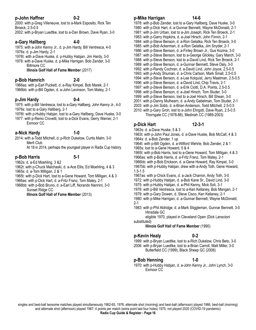# **p-John Haffner 0-2**

2000: with p-Greg Villeneuve, lost to a-Mark Esposito, Rick Ten Broeck, 2.5-0.5

2002: with p-Bryan Luedtke, lost to a-Dan Brown, Dave Ryan, 3-0

# **a-Gary Hallberg 4-0**

1975: with a-John Kenny Jr., d. p-Jim Hardy, Bill Ventresca, 4-0 1976s: d. p-Jim Hardy, 2-1

1976t: with a-Dave Huske, d. p-Hubby Habjan, Jim Hardy, 3-0

1978: with a-Dave Huske, d. p-Mike Harrigan, Bob Zender, 3-0 Biltmore CC

**Illinois Golf Hall of Fame Member** (2017)

# **p-Bob Hamrich 2-0**

1966as: with p-Earl Puckett, d. a-Ray Kimpel, Bob Marek, 2-1 1966bb: with p-Bill Ogden, d. a-John Levinson, Tom Matey, 2-1

# **p-Jim Hardy 0-4**

1975: with p-Bill Ventresca, lost to a-Gary Hallberg, John Kenny Jr., 4-0 1976s: lost to a-Gary Hallberg, 2-1

1976t: with p-Hubby Habjan, lost to a-Gary Hallberg, Dave Huske, 3-0

1977: with p-Remo Crovetti, lost to a-Dick Evans, Gerry Warner, 2-1 Exmoor CC

# **a-Nick Hardy 1-0**

- 
- 2014: with a-Todd Mitchell, d. p-Rich Dukelow, Curtis Malm, 3-0 Merit Club

At 18 in 2014, perhaps the youngest player in Radix Cup history.

## **p-Bob Harris 5-1**

1962s: d. a-Ed Moehling, 3 &2

1962t: with p-Chuck Malchaski, d. a-Ace Ellis, Ed Moehling, 4 & 3 1965s: d. a-Tom Milligan, 2 & 1

1965t: with p-Dick Hart, lost to a-Gene Howard, Tom Milligan, 4 & 3

1966as: with p-Dick Hart, d. a-Fritz Franz, Tom Matey, 2-1

1966bb: with p-Bob Bruno, d. a-Earl Liff, Norando Nannini, 3-0 Sunset Ridge CC

**Illinois Golf Hall of Fame Member** (2013)

# **p-Mike Harrigan 14-6**

1978: with p-Bob Zender, lost to a-Gary Hallberg, Dave Huske, 3-0 1980: with p-Dick Hart, d. a-Gunnar Bennett, Wayne McDonald, 2-1 1981: with p-Jim Urban, lost to a-Jim Joseph, Rick Ten Broeck, 2-1 1983: with p-Garry Hopkins, d. a-Joel Hirsch, John Finnin, 2-1 1984: with p-Steve Benson, d. a-Ron Gelatka, Rick Ten Broeck, 3-0 1985: with p-Bob Ackerman, d. a-Ron Gelatka, Jim Snyder, 2-1 1986: with p-Steve Benson, d. a-Finley Brown Jr., Gus Kozina, 3-0 1987: with p-Steve Benson, lost to a-George Glickley, Gary March, 3-0 1988: with p-Steve Benson, lost to a-David Lind, Rick Ten Broeck, 2-1 1989: with p-Steve Benson, d. a-Gunnar Bennett, Steve Daly, 3-0 1992: with p-Randy Cochran, d. a-David Lind, John Joyce, 2.5-0.5 1993: with p-Andy Shuman, d. a-Chris Carlson, Mark Small, 2.5-0.5 1994: with p-Steve Benson, d. a-Lee Kolquist, Jerry Maatman, 2.5-0.5 1996: with p-Steve Benson, d. a-David Lind, Chip Travis, 2-1 1997: with p-Steve Benson, d. a-Erik Ciotti, D.A. Points, 2.5-0.5 1998: with p-Steve Benson, d. a-Joel Hirsch, Tom Studer, 3-0 1999: with p-Steve Benson, lost to a-Joel Hirsch, Bill Shean, 3-0 2001: with p-Danny Mulhearn, d. a-Andy Gabelman, Tom Studer, 2-1 2003: with p-Jim Sobb, d. a-Brian Anderson, Todd Mitchell, 2.5-0.5 2010: with p-Gary Groh, lost to a-John Ehrgott, Dave Ryan, 2.5-0.5 Thorngate CC (1978-88), Medinah CC (1989-2003)

# **p-Dick Hart 12-3-1**

1963s: d. a-Dave Huske, 5 & 3

1963t: with p-John Paul Jones, d. a-Dave Huske, Bob McCall, 4 & 3 1964s: d. a-Bob Zender, 1 up

1964t: with p-Bill Ogden, d. a-Wilford Wehrle, Bob Zender, 2 & 1 1965s: lost to a-Gene Howard, 5 & 4

1965t: with p-Bob Harris, lost to a-Gene Howard, Tom Milligan, 4 & 3

1966as: with p-Bob Harris, d. a-Fritz Franz, Tom Matey, 2-1

1966bb: with p-Bob Erickson, d. a-Gene Howard, Ray Kimpel, 3-0

1967bb: with p-Hubby Habjan, drew with a-Andy Toth, Gene Howard, 1.5-1.5

- 1967as: with p-Chick Evans, d. a-Jack Charron, Andy Toth, 3-0
- 1972: with p-Hubby Habjan, d. a-Bob Kane Sr., David Lind, 3-0
- 1975: with p-Hubby Habjan, d. a-Phil Kenny, Mick Soli, 3-1
- 1978: with p-Bill Ventresca, lost to a-Ken Kellaney, Bob Mangan, 2-1
- 1979: with p-Gary Dowen, d. Steve Cisco, Ken Kellaney, 2-1

1980: with p-Mike Harrigan, d. a-Gunnar Bennett, Wayne McDonald, 2-1

1983: with p-Phil Aldridge, d. a-Mark Stiggleman, Gunnar Bennett, 3-0 Hinsdale GC

 eligible 1970, played in Cleveland Open (Dick Lanscioni substituted)

# **Illinois Golf Hall of Fame Member** (1990)

**p-Kevin Healy 0-2**  1999: with p-Bryan Luedtke, lost to a-Rich Dukelow, Chris Beto, 3-0 2006: with p-Bryan Luedtke, lost to a-Brian Carroll, Matt Miller, 3-0 Butterfield CC (1999), Black Sheep GC (2006)

# **p-Bob Henning 1-0**

1970: with p-Hubby Habjan, d. a-John Kenny Jr., John Lynch, 3-0 Exmoor CC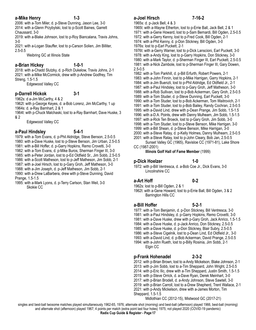# **a-Mike Henry 1-3**

2006: with a-Tom Miler, d. p-Steve Dunning, Jason Lee, 3-0 2014: with a-Glenn Przybylski, lost to p-Scott Baines, Garrett Chaussard, 3-0

2019: with a-Blake Johnson, lost to p-Roy Biancalana, Travis Johns, 3-0

2021: with a-Logan Stauffer, lost to p-Carson Solien, Jim Billiter, 2.5-0.5

Weibring GC at Illinois State

# **a-Brian Hickey 1-0-1**

2018: with a-Chadd Slutzky, d. p-Rich Dukelow, Travis Johns, 2-1 2021: with a-Mike McCormick, drew with p-Andrew Godfrey, Tim Streng, 1.5-1.5 Edgewood Valley CC

### **p-Darrell Hickok 3-1**

1962s: d a-Jim McCarthy, 4 & 2

1962t: with p-George Keyes, d. a-Bob Lorenz, Jim McCarthy, 1 up 1964s: d. a-Ray Barnhart, 2 & 1

1964t: with p-Chuck Malchaski, lost to a-Ray Barnhart, Dave Huske, 3 & 2

Edgewood Valley CC

### **a-Paul Hindsley 5-4-1**

1979: with a-Tom Evans, d. p-Phil Aldridge, Steve Benson, 2.5-0.5 1980: with a-Dave Huske, lost to p-Steve Benson, Jim Urban, 2.5-0.5 1981: with a-Bill Hoffer, d. p-Garry Hopkins, Remo Crovetti, 3-0 1982: with a-Tom Evans, d. p-Mike Buros, Sherman Finger III, 3-0 1985: with a-Peter Jordan, lost to p-Ed Oldfield Sr., Jim Sobb, 2.5-0.5 1986: with a-Scott Matheson, lost to p-Jeff Matheson, Jim Sobb, 2-1 1987: with a-Joel Hirsch, lost to p-Gary Groh, Jeff Matheson, 3-0 1988: with a-Jim Joseph, d. p-Jeff Matheson, Jim Sobb, 2-1 1990: with a-Drew LaBarbera, drew with p-Steve Dunning, David Prange, 1.5-1.5

1995: with a-Mark Lyons, d. p-Terry Carlson, Stan Weil, 3-0 Skokie CC

# **a-Joel Hirsch 7-16-2**

1965s: d. p-Jack Bell, 4 & 3



1965t: with a-Wayne Etherton, lost to p-Errie Ball, Jack Bell, 2 & 1 1971: with a-Gene Howard, lost to p-Sam Bernardi, Bill Ogden, 2.5-0.5 1972: with a-Gerry Kenny, lost to p-Fred Cook, Bill Ogden, 2-1 1974: with a-Phil Kenny, d. p-Don Stickney, Bill Ogden, 3-0 1976s: lost to p-Earl Puckett, 2-1 1976t: with a-Gerry Warner, lost to p-Dick Lanscioni, Earl Puckett, 3-0 1978: with a-Andy King, lost to p-Garry Hopkins, Don Stickney, 3-0 1980: with a-Mark Taylor, d. p-Sherman Finger III, Earl Puckett, 2.5-0.5 1981: with a-Nick Zambole, lost to p-Sherman Finger III, Gary Dowen, 2.5-0.5 1982: with a-Tom Parkhill, d. p-Bill Erfurth, Robert Powers, 2-1 1983: with a-John Finnin, lost to p-Mike Harrigan, Garry Hopkins, 2-1 1984: with a-Jim Buenzli, lost to p-Phil Aldridge, Ed Oldfield Jr., 2-1 1987: with a-Paul Hindsley, lost to p-Gary Groh, Jeff Matheson, 3-0 1988: with a-Rob Sullivan, lost to p-Bob Ackerman, Gary Groh, 2.5-0.5 1989: with a-Tom Studer, d. p-Steve Dunning, Earl Puckett, 3-0 1990: with a-Tom Studer, lost to p-Bob Ackerman, Tom Waitrovich, 2-1 1991: with a-Tom Studer, lost to p-Bob Bailey, Randy Cochran, 2.5-0.5 1995: with a-David Lind, drew with p-Dean Prange, Jim Sobb, 1.5-1.5 1996: with a-D.A. Points, drew with Danny Mulhearn, Jim Sobb, 1.5-1.5 1997: with a-Rick Ten Broeck, lost to p-Gary Groh, Jim Sobb, 3-0 1998: with a-Tom Studer, lost to p-Steve Benson, Mike Harrigan, 3-0 1999: with a-Bill Shean, d. p-Steve Benson, Mike Harrigan, 3-0 2000: with a-Steve Ratay, d. p-Kelly Holmes, Danny Mulhearn, 2.5-0.5 2001: with a-Steve Ratay, lost to p-John Cleary, Bob Jan, 2.5-0.5 Sunset Valley GC (1965), Ravisloe CC (1971-81), Lake Shore

CC (1987-2001)

### **Illinois Golf Hall of Fame Member** (1999)

## **p-Dick Hoelzer 1-0**

1972: with p-Bill Ventresca, d. a-Bob Coe Jr., Dick Evans, 3-0 Lincolnshire CC

## **a-Art Hoff 0-2**

1962s: lost to p-Bill Ogden, 2 & 1

1962t: with a-Gene Howard, lost to p-Errie Ball, Bill Ogden, 3 & 2 Barrington Hills CC

# **a-Bill Hoffer 5-2-1**

1977: with a-Tom Benjamin, d. p-Don Stickney, Bill Ventresca, 3-0 1981: with a-Paul Hindsley, d. p-Garry Hopkins, Remo Crovetti, 3-0 1981: with a-Dave Huske, drew with p-Gary Groh, Jack Anrico, 1.5-1.5 1984: with a-Dave Huske, d. p-Jack Anrico, Don Stickney, 2.5-0.5 1985: with a-Dave Huske, d. p-Don Stickney, Blair Subry, 2.5-0.5 1986: with a-Steve Cigelnik, lost to p-Dean Lind, Ed Oldfield Jr., 3-0

1993: with a-David Lind, d. p-Bob Ackerman, David Prange, 2.5-0.5 1994: with a-John Rueth, lost to p-Billy Rosinia, Jim Sobb, 2-1 Elgin CC

# **p-Frank Hohenadel 2-3-2**

2012: with p-Brian Brown, lost to a-Andy Mickelson, Blake Johnson, 2-1 2013: with p-Jim Sobb, lost to a-Tim Sheppard, John Wright, 2.5-0.5 2014: with p-Eric Ilic, drew with a-Tim Sheppard, Justin Smith, 1.5-1.5 2015: with p-Steve Orrick, d. a-Dave Ryan, Derek Meinhart, 3-0 2017: with p-Brian Brodell, d. a-Andy Johnson, Steve Sawtell, 3-0 2019: with p-Brian Carroll, lost to a-Drew Shepherd, Trent Wallace, 2-1 2021: with p-Andy Mickelson, drew with a-James Morton, Tim Sheppard, 1.5-1.5

Midlothian CC (2012-15), Mistwood GC (2017-21)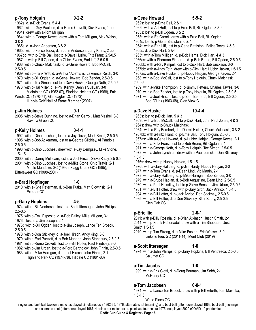# **p-Tony Holguin 9-2-2**

1962s: d. a-Dick Evans, 5 & 4 1962t: with p-Guy Paulsen, d. a-Remo Crovetti, Dick Evans, 1 up

1964s: drew with a-Tom Milligan 1964t: with p-George Keyes, drew with a-Tom Milligan, Alex Welsh, 3 & 2

1965s: d. a-John Andersen, 3 & 2

1965t: with p-Felice Torza, d. a-John Andersen, Larry Kraay, 2 up 1967bb: with p-Errie Ball, lost to a-Dave Huske, Fritz Franz, 2.5-0.5 1967as: with p-Bill Ogden, d. a-Chick Evans, Earl Liff, 2.5-0.5

1968: with p-Chuck Malchaski, d. a-Gene Howard, Bob McCall, 2.5-0.5

1969: with p-Frank Witt, d. a-Arthur "Ace" Ellis, Lawrence Reich, 3-0

1970: with p-Bill Ogden, d. a-Gene Howard, Bob Zender, 2.5-0.5

- 1971: with p-Tex Simon, lost to a-Dave Huske, George Noth, 2.5-0.5
- 1973: with p-Hal Miller, d. a-Phil Kenny, Dennis Sullivan, 3-0
- Midlothian CC (1962-67), Sheldon Heights GC (1968), Fair Winds CC (1970-71), Gleneagles CC (1973)

**Illinois Golf Hall of Fame Member** (2007)

## **p-Jim Holmes 0-1**

2005: with p-Steve Dunning, lost to a-Brian Carroll, Matt Maskel, 3-0 Ravinia Green CC

### **p-Kelly Holmes 0-4-1**

1992: with p-Dino Lucchesi, lost to a-Jay Davis, Mark Small, 2.5-0.5 1995: with p-Bob Ackerman, lost to a-George Glickley, Al Pandola, 2.5-0.5

1998: with p-Dino Lucchesi, drew with a-Jay Dempsey, Mike Stone, 1.5-1.5

2000: with p-Danny Mulhearn, lost to a-Joel Hirsch, Steve Ratay, 2.5-0.5

2001: with p-Dino Lucchesi, lost to a-Mike Stone, Chip Travis, 2-1 Maple Meadows GC (1992), Flagg Creek GC (1995), Bittersweet GC (1998-2001)

## **a-Brad Hopfinger 1-0**

2010: with a-Kyle Peterman, d. p-Ben Putka, Matt Slowinski, 2-1 Exmoor CC

## **p-Garry Hopkins 4-5**

1974: with p-Bill Ventresca, lost to a-Scott Ittersagen, John Phillips, 2.5-0.5

1975: with p-Emil Esposito, d. a-Bob Bailey, Mike Milligan, 3-1 1976s: lost to a-Jim Joseph, 2-1

1976t: with p-Bill Ogden, lost to a-Jim Joseph, Lance Ten Broeck, 2.5-0.5

1978: with p-Don Stickney, d. a-Joel Hirsch, Andy King, 3-0

- 1979: with p-Earl Puckett, d. a-Bob Mangan, John Stansbury, 2.5-0.5
- 1981: with p-Remo Crovetti, lost to a-Bill Hoffer, Paul Hindsley, 3-0
- 1982: with p-Jim Urban, lost to a-Ford Bartholow, John Finnin, 2.5-0.5
- 1983: with p-Mike Harrigan, d. a-Joel Hirsch, John Finnin, 2-1

Highland Park CC (1974-78), Hilldale CC (1981-83)

# **a-Gene Howard 5-9-2**

1962s: lost to p-Errie Ball, 2 & 1

1962t: with a-Art Hoff, lost to p-Errie Ball, Bill Ogden, 3 & 2 1963s: lost to p-Bill Ogden, 3 & 2

1963t: with a-Ed Carroll, drew with p-Errie Ball, Bill Ogden 1964s: lost to p-Gene Battistoni, 6 & 4

1964t: with a-Earl Liff, lost to p-Gene Battistoni, Felice Torza, 4 & 3 1965s: d. p-Dick Hart, 5 &4

1965t: with a-Tom Milligan, d. p-Bob Harris, Dick Hart, 4 & 3

1966as: with a-Sherman Finger III, d. p-Bob Bruno, Bill Ogden, 2.5-0.5 1966bb: with a-Ray Kimpel, lost to p-Dick Hart, Bob Erickson, 3-0 1967bb: with a-Andy Toth, drew with p-Dick Hart, Hubby Habjan, 1.5-1.5 1967as: with a-Dave Huske, d. p-Hubby Habjan, George Keyes, 2-1

1968: with a-Bob McCall, lost to p-Tony Holguin, Chuck Malchaski, 2.5-0.5

1969: with a-Mike Thompson, d. p-Jimmy Fetters, Charles Tawse, 3-0

1970: with a-Bob Zender, lost to p-Tony Holguin, Bill Ogden, 2.5-0.5

1971: with a-Joel Hirsch, lost to p-Sam Bernardi, Bill Ogden, 2.5-0.5 Bob O'Link (1963-68), Glen View C

### **a-Dave Huske 10-4-4**

1963s: lost to p-Dick Hart, 5 & 3

1963t: with a-Bob McCall, lost to p-Dick Hart, John Paul Jones, 4 & 3 1964s: drew with p-Chuck Malchaski

1964t: with a-Ray Barnhart, d. p-Darrell Hickok, Chuck Malchaski, 3 & 2 1967bb: with a-Fritz Franz, d. p-Errie Ball, Tony Holguin, 2.5-0.5 1967as: with a-Gene Howard, d. p-Hubby Habjan, George Keyes, 2-1 1968: with a-Fritz Franz, lost to p-Bob Bruno, Bill Ogden, 2-1 1971: with a-George Noth, d. p-Tony Holguin, Tex Simon, 2.5-0.5 1972: with a-John Lynch Jr., drew with p-Paul Lemcke, Don Stickney,

- 1.5-1.5
- 1976s: drew with p-Hubby Habjan, 1.5-1.5
- 1976t: with a-Gary Hallberg, d. p-Jim Hardy, Hubby Habjan, 3-0
- 1977: with a-Tom Evans, d. p-Dean Lind, Vic Martin, 2-1
- 1978: with a-Gary Hallberg, d. p-Mike Harrigan, Bob Zender, 3-0
- 1979: with a-Bruce Habjan, d. p-Bob Augustine, Dean Lind, 2.5-0.5
- 1980: with a-Paul Hinsdley, lost to p-Steve Benson, Jim Urban, 2.5-0.5
- 1981: with a-Bill Hoffer, drew with p-Gary Groh, Jack Anrico, 1.5-1.5
- 1984: with a-Bill Hoffer, d. p-Jack Anrico, Don Stickney, 2.5-0.5
- 1985: with a-Bill Hoffer, d. p-Don Stickney, Blair Subry, 2.5-0.5 Glen Oak CC

## **p-Eric Ilic 2-0-1**

2011: with p-Billy Rosinia, d. a-Brian Atkinson, Justin Smith, 2-1 2014: with p-Frank Hohenadel, drew with a-Tim Sheppard, Justin Smith 1.5-1.5

2019: with p-Tim Streng, d. a-Mike Fastert, Eric Wessel, 3-0 Links & Tees GC (2011-14), Merit Club (2019)

# **a-Scott Ittersagen 1-0**

1974: with a-John Phillips, d. p-Garry Hopkins, Bill Ventresca, 2.5-0.5 Calumet CC

# **a-Tim Jacobs 1-0**

1999: with a-Erik Ciotti, d. p-Doug Bauman, Jim Sobb, 2-1 McHenry CC

## **a-Tom Jacobsen 0-0-1**

1974: with a-Lance Ten Broeck, drew with p-Bill Erfurth, Tom Mavaika, 1.5-1.5

### White Pines GC

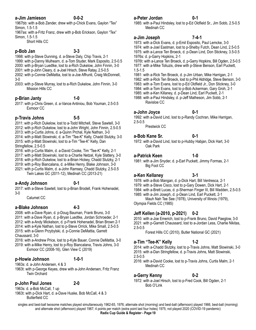# **a-Jim Jamieson 0-0-2**

1967bb: with a-Bob Zender, drew with p-Chick Evans, Gaylon "Tex" Simon, 1.5-1.5

1967as: with a-Fritz Franz, drew with p-Bob Erickson, Gaylon "Tex" Simon, 1.5-1.5

Short Hills CC

### **p-Bob Jan 3-3**

1998: with p-Steve Dunning, d. a-Steve Daly, Chip Travis, 2-1 1999: with p-Danny Mulhearn, d. a-Tom Studer, Mark Esposito, 2.5-0.5

2000: with p-Bryan Luedtke, lost to a-Rich Dukelow, John Finnin, 3-0

2001: with p-John Cleary, d. a-Joel Hrisch, Steve Ratay, 2.5-0.5

2002: with p-Connie DeMattia, lost to a-Joe Affrunti, Craig McDonnell, 3-0

2003: with p-Steve Murray, lost to a-Rich Dukelow, John Finnin, 3-0 Mission Hills CC

## **p-Brian Janty 1-0**

2017: with p-Chris Green, d. a-Vance Antiniou, Bob Youman, 2.5-0.5 Exmoor CC

## **p-Travis Johns 5-5**

2011: with p-Rich Dukelow, lost to a-Todd Mitchell, Steve Sawtell, 3-0 2012: with p-Rich Dukelow, lost to a-John Wright, John Finnin, 2.5-0.5

2013: with p-Curtis Johns, d. a-Quinn Prchal, Kyle Nathan, 3-0

2014: with p-Matt Slowinski, d. a-Tim "Tee-K" Kelly, Chadd Slutzky, 3-0 2015: with p-Matt Slowinski, lost to a-Tim "Tee-K" Kelly, Dan Stringfellow, 2.5-0.5

2016: with p-Curtis Malm, d. a-David Cooke, Tim "Tee-K" Kelly, 2-1 2017: with p-Matt Slowinski, lost to a-Charlie Netzel, Kyle Slattery, 3-0 2018: with p-Rich Dukelow, lost to a-Brian Hickey, Chadd Slutzky, 2-1 2019: with p-Roy Biancalana, d. a-Mike Henry, Blake Johnson, 3-0

2021: with p-Curtis Malm, d. a-John Ramsey, Chadd Slutzky, 2.5-0.5 Twin Lakes GC (2011-12), Medinah CC (2013-21)

### **a-Andy Johnson 0-1**

2017: with a-Steve Sawtell, lost to p-Brian Brodell, Frank Hohenadel, 3-0

Calumet CC

### **a-Blake Johnson 4-3**

2008: with a-Dave Ryan, d. p-Doug Bauman, Frank Bruno, 3-0 2011: with a-Dave Ryan, d. p-Bryan Luedtke, Jordan Schroeder, 2-1 2012: with a-Andy Mickelson, d. p-Frank Hohenadel, Brian Brown 2-1 2014: with a-Kyle Nathan, lost to p-Steve Orrick, Mike Small, 2.5-0.5 2015: with a-Glenn Przybylski, d. p-Connie DeMattia, Garrett Chaussard, 3-0

2016: with a-Andrew Price, lost to p-Kyle Bauer, Connie DeMattia, 3-0 2019: with a-Mike Henry, lost to p-Roy Biancalana, Travis Johns, 3-0 Exmoor CC (2008-16), Glen View C (2019)

## **p-Howie Johnson 1-0-1**

1963s: d. a-John Andersen, 4 & 3

1963t: with p-George Keyes, drew with a-John Andersen, Fritz Franz Twin Orchard

## **p-John Paul Jones 2-0**

1963s: d. a-Bob McCall, 1 up

1963t: with p-Dick Hart, d. a-Dave Huske, Bob McCall, 4 & 3 Butterfield CC

## **a-Peter Jordan 0-1**

1985: with a-Paul Hindsley, lost to p-Ed Oldfield Sr., Jim Sobb, 2.5-0.5 Medinah CC

# **a-Jim Joseph 7-4-1**

1973: with a-Dick Evans, d. p-Emil Esposito, Paul Lemcke, 3-0 1974: with a-Joel Eastman, lost to p-Shelby Futch, Dean Lind, 2.5-0.5 1975: with a-Lance Ten Broeck, d. p-Dean Lind, Don Stickney, 3.5-0.5 1976s: d. p-Garry Hopkins, 2-1

1976t: with a-Lance Ten Broeck, d. p-Garry Hopkins, Bill Ogden, 2.5-0.5 1977: with a-Mike Toliuzis, drew with p-Steve Benson, Earl Puckett, 1.5-1.5

- 1981: with a-Rick Ten Broeck, d. p-Jim Urban, Mike Harrigan, 2-1
- 1982: with a-Rick Ten Broeck, lost to p-Phil Aldridge, Steve Benson, 3-0
- 1983: with a-Tom Evans, lost to p-Ed Oldfield Jr., Don Stickney, 3-0
- 1984: with a-Tom Evans, lost to p-Bob Ackerman, Gary Groh, 2-1
- 1985: with a-Ken Killaney, d. p-Dean Lind, Earl Puckett, 2-1
- 1988: with a-Paul Hindsley, d. p-Jeff Matheson, Jim Sobb, 2-1 Ravisloe CC

### **a-John Joyce 0-1**

1992: with a-David Lind, lost to p-Randy Cochran, Mike Harrigan, 2.5-0.5

Prestwick CC

### **a-Bob Kane Sr. 0-1**

1972: with a-David Lind, lost to p-Hubby Habjan, Dick Hart, 3-0 Oak Park

# **a-Patrick Keen 1-0**

1981: with a-Jim Snyder, d. p-Earl Puckett, Jimmy Formas, 2-1 Big Foot CC

## **a-Ken Kellaney 3-1**

1978: with a-Bob Mangan, d. p-Dick Hart, Bill Ventresca, 2-1 1979: with a-Steve Cisco, lost to p-Gary Dowen, Dick Hart, 2-1 1984: with a-Brett Lucas, d. p-Sherman Finger III, Bill Wadden, 2.5-0.5 1985: with a-Jim Joseph, d. p-Dean Lind, Earl Puckett, 2-1 Mauh Nah Tee See (1978), University of Illinois (1979), Olympia Fields CC (1985)

## **Jeff Kellen (a-2010, p-2021) 0-2**

2010: with a-Joe Emerich, lost to p-Frank Bruno, David Paeglow, 3-0 2021: with p-Garrett Chaussard, lost to a-Jordan Less, Charlie Nikitas, 2.5-0.5

Forest Hills CC (2010), Butler National GC (2021)

## **a-Tim "Tee-K" Kelly 1-2**

2014: with a-Chadd Slutzky, lost to p-Travis Johns, Matt Slowinski, 3-0 2015: with a-Dan Stringfellow, d. p-Travis Johns, Matt Slowinski, 2.5-0.5

2016: with a-David Cooke, lost to p-Travis Johns, Curtis Malm, 2-1 Medinah CC

## **a-Gerry Kenny 0-2**

1972: with a-Joel Hirsch, lost to p-Fred Cook, Bill Ogden, 2-1 Bob O'Link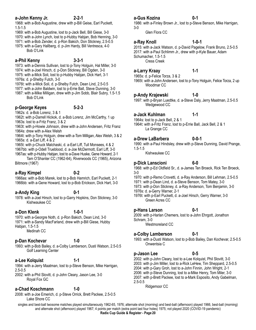# **a-John Kenny Jr. 2-2-1**

1968: with a-Bob Augustine, drew with p-Bill Geise, Earl Puckett, 1.5-1.5

- 1969: with a-Bob Augustine, lost to p-Jack Bell, Bill Giese, 3-0
- 1970: with a-John Lynch, lost to p-Hubby Habjan, Bob Henning, 3-0
- 1971: with a-Bob Zender, d. p-Ron Bakich, Don Stickney, 2.5-0.5 1975: with a-Gary Hallberg, d. p-Jim Hardy, Bill Ventresca, 4-0

Bob O'Link

### **a-Phil Kenny 3-3-1**

- 1973: with a-Dennis Sullivan, lost to p-Tony Holguin, Hal Miller, 3-0 1974: with a-Joel Hirsch, d. p-Don Stickney, Bill Ogden, 3-0
- 1975: with a-Mick Soli, lost to p-Hubby Habjan, Dick Hart, 3-1
- 1976s: d. p-Shelby Futch, 3-0
- 1976t: with a-Mick Soli, d. p-Shelby Futch, Dean Lind, 2.5-0.5
- 1977: with a-John Baldwin, lost to p-Errie Ball, Steve Dunning, 3-0
- 1987: with a-Mike Milligan, drew with p-Jim Sobb, Blair Subry, 1.5-1.5 Bob O'Link

# **p-George Keyes 5-2-3**

1962s: d. a-Bob Lorenz, 3 & 1

1962t: with p-Darrell Hickok, d. a-Bob Lorenz, Jim McCarthy, 1 up 1963s: lost to a-Fritz Franz, 3 & 2

- 1963t: with p-Howie Johnson, drew with a-John Andersen, Fritz Franz 1964s: drew with a-Alex Welsh
- 1964t: with p-Tony Holguin, drew with a-Tom Milligan, Alex Welsh, 3 & 2 1965s: d. a-Earl Liff, 4 & 2
- 1965t: with p-Chuck Malchaski, d. a-Earl Liff, Tull Monsees, 4 & 2
- 1967bb: with p-Odell Trueblood, d. a-Joe McDermott, Earl Liff, 3-0
- 1967as: with p-Hubby Habjan, lost to a-Dave Huske, Gene Howard, 2-1 Tam O'Shanter CC (1962-64), Riverwoods CC (1965), Arizona Biltmore (1967)

# **a-Ray Kimpel 0-2**

1966as: with a-Bob Marek, lost to p-Bob Hamrich, Earl Puckett, 2-1 1966bb: with a-Gene Howard, lost to p-Bob Erickson, Dick Hart, 3-0

# **a-Andy King 6-1**

1978: with a-Joel Hirsch, lost to p-Garry Hopkins, Don Stickney, 3-0 Kishwaukee CC

# **a-Don Klenk 1-0-1**

1970: with a-Georgre Noth, d. p-Ron Bakich, Dean Lind, 3-0 1971: with a-Sandy MacFarland, drew with p-Bill Giese, Hubby Habjan, 1.5-1.5 Medinah CC

# **p-Dan Kochevar 1-0**

1993: with p-Bob Bailey, d. a-Colby Lamberson, Dusti Watson, 2.5-0.5 Golf Learning Center

# **a-Lee Kolquist 1-1**

1994: with a-Jerry Maatman, lost to p-Steve Benson, Mike Harrigan, 2.5-0.5

2002: with a-Phil Slovitt, d. p-John Cleary, Jason Lee, 3-0 Royal Fox GC

# **a-Chad Koschmann 1-0**

2008: with a-Joe Emerich, d. p-Steve Orrick, Brett Packee, 2.5-0.5 Lake Shore CC

# **a-Gus Kozina 0-1**

1986: with a-Finley Brown Jr., lost to p-Steve Benson, Mike Harrigan, 3-0

Glen Flora CC

# **a-Ray Knoll 1-0-1**

2015: with a-Jack Watson, d. p-David Pagelow, Frank Bruno, 2.5-0.5 2017: with a-Paul Schlimm Jr., drew with p-Kyle Bauer, Adam Schumacher, 1.5-1.5 Cress Creek

### **a-Larry Kraay 1-1**

1965s: d. p-Felice Torza, 3 & 2

1965t: with a-John Andersen, lost to p-Tony Holguin, Felice Torza, 2 up Woodmar CC

# **p-Andy Krajewski 1-0**

1997: with p-Bryan Luedtke, d. a-Steve Daly, Jerry Maatman, 2.5-0.5 Wedgewood CC

### **a-Jack Kuhlman 1-1**

1964s: lost to p-Jack Bell, 2 & 1

1964t: with a-Fritz Franz, lost to p-Errie Ball, Jack Bell, 2 & 1 La Grange CC

# **a-Drew LaBarbera 0-0-1**

1990: with a-Paul Hindsley, drew with p-Steve Dunning, David Prange, 1.5-1.5

Kishwaukee CC

### **p-Dick Lanscioni 6-0**

1968: with p-Ed Oldfield Sr., d. a-James Ten Broeck, Rick Ten Broeck, 3-0

1970: with p-Remo Crovetti, d. a-Ray Anderson, Bill Lehman, 2.5-0.5 1971: with p-Dean Lind, d. a-Steve Benson, Tom Matey, 3-0

1973: with p-Don Stickney, d. a-Ray Anderson, Tom Benjamin, 3-0 1976s: d. a-Gerry Warner, 2-1

1976t: with p-Earl Puckett, d. a-Joel Hirsch, Gerry Warner, 3-0 Green Acres CC

## **p-Hans Larson 0-1**

2009: with p-Harlan Chemers, lost to a-John Ehrgott, Jonathon Schram, 3-0

Westmoreland CC

## **a-Colby Lamberson 0-1**

1993: with a-Dusti Watson, lost to p-Bob Bailey, Dan Kochevar, 2.5-0.5 Onwentsia C

### **p-Jason Lee 0-5**

### 2002: with p-John Cleary, lost to a-Lee Kolquist, Phil Slovitt, 3-0 2003: with p-Jim Miller, lost to a-Rick LeHew, Tim Sheppard, 2.5-0.5 2004: with p-Gary Groh, lost to a-John Finnin, John Wright, 2-1 2006: with p-Steve Dunning, lost to a-Mike Henry, Tom Miler, 3-0 2007: with p-Brett Packee, lost to a-Mark Esposito, Andy Gabelman, 2.5-0.5

Ridgemoor CC

- 
- 
-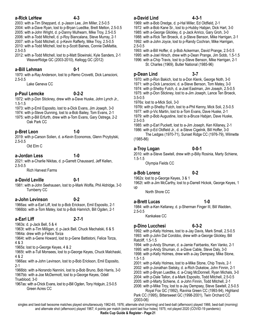### 1974: with p-Steve Dunning, lost to a-Bob Bailey, Tom Evans, 2-1 1975: with p-Bill Erfurth, drew with a-Tom Evans, Gary Ostrega, 2-2

Oak Park CC

Lake Geneva CC

**a-Bill Lehman 0-1** 

**p-Paul Lemcke 0-2-2** 

# **p-Bret Leon 1-0**

2019: with p-Carson Solien, d. a-Kevin Economos, Glenn Przybylski, 2.5-0.5

Old Elm C

# **a-Jordan Less 1-0**

2021: with a-Charlie Nikitas, d. p-Garrett Chaussard, Jeff Kellen, 2.5-0.5

Rich Harvest Farms

# **a-David Leville 0-1**

1981: with a-John Seehausen, lost to p-Mark Wolfla, Phil Aldridge, 3-0 Turnberry CC

# **a-John Levinson 0-2**

1966as: with a-Earl Liff, lost to p-Bob Erickson, Emil Esposito, 2-1 1966bb: with a-Tom Matey, lost to p-Bob Hamrich, Bill Ogden, 2-1

# **a-Earl Liff 2-7-1**

1963s: d. p-Jack Bell, 5 & 4

1963t: with a-Tim Milligan, d. p-Jack Bell, Chuck Machalski, 6 & 5 1964a: drew with p-Felice Torza

1964t: with a-Gene Howard, lost to p-Gene Battistoni, Felice Torza, 4 & 3

1965s: lost to p-George Keyes, 4 & 2

1965t: with a-Tull Monsees, lost to p-George Keyes, Chuck Malchaski, 4 & 2

1966as: with a-John Levinson, lost to p-Bob Erickson, Emil Esposito, 2-1

1966bb: with a-Norando Nannini, lost to p-Bob Bruno, Bob Harris, 3-0 1967bb: with a-Joe McDermott, lost to p-George Keyes, Odell Trueblood, 3-0

1967as: with a-Chick Evans, lost to p-Bill Ogden, Tony Holguin, 2.5-0.5 Green Acres CC

## **a-David Lind 4-3-1**

1969: with a-Bob Dredge, d. p-Hal Miller, Ed Oldfield, 2-1

1972: with a-Bob Kane Sr., lost to p-Hubby Habjan, Dick Hart, 3-0 1985: with a-George Glickley, d. p-Jack Anrico, Gary Groh, 3-0 1988: with a-Rick Ten Broeck, d. p-Steve Benson, Mike Harrigan, 2-1 1992: with a-John Joyce, lost to p-Randy Cochran, Mike Harrigan, 2.5-0.5

1993: with a-Bill Hoffer, d. p-Bob Ackerman, David Prange, 2.5-0.5 1995: with a-Joel Hirsch, drew with p-Dean Prange, Jim Sobb, 1.5-1.5 1996: with a-Chip Travis, lost to p-Steve Benson, Mike Harrigan, 2-1 St. Charles (1969), Butler National (1985-96)

# **p-Dean Lind 3-7**

1970: with p-Ron Bakich, lost to a-Don Klenk, George Noth, 3-0 1971: with p-Dick Lanscioni, d. a-Steve Benson, Tom Matey, 3-0 1974: with p-Shelby Futch, d. a-Joel Eastman, Jim Joseph, 2.5-0.5 1975: with p-Don Stickney, lost to a-Jim Joseph, Lance Ten Broeck, 3.5-0.5

1976s: lost to a-Mick Soli, 3-0

1976t: with p-Shelby Futch, lost to a-Phil Kenny, Mick Soli, 2.5-0.5

1977: with p-Vic Martin, lost to a-Tom Evans, Dave Huske, 2-1

1979: with p-Bob Augustine, lost to a-Bruce Habjan, Dave Huske, 2.5-0.5

1985: with p-Earl Puckett, lost to a-Jim Joseph, Ken Killaney, 2-1 1986: with p-Ed Oldfield Jr., d. a-Steve Cigelnik, Bill Hoffer, 3-0 The Ledges (1970-71), Sunset Ridge CC (1976-79), Wilmette

(1985-86)

# **a-Troy Logan** 0-0-1

2010: with a-Steve Sawtell, drew with p-Billy Rosinia, Marty Schiene, 1.5-1.5

OIympia Fields CC

# **a-Bob Lorenz 0-2**

1962s: lost to p-George Keyes, 3 & 1 1962t: with a-Jim McCarthy, lost to p-Darrell Hickok, George Keyes, 1 up

North Shore CC

# **a-Brett Lucas 1-0**

1984: with a-Ken Kellaney, d. p-Sherman Finger III, Bill Wadden, 2.5-0.5

Kankakee CC

# **p-Dino Lucchesi 6-3-2**

1992: with p-Kelly Holmes, lost to a-Jay Davis, Mark Small, 2.5-0.5 1993: with p-John Dal Corobbo, drew with a-George Glickley, Bill Ratcliff, 1.5-1.5

1994: with p-Andy Shuman, d. a-Jamie Fairbanks, Ken Vanko, 2-1 1995: with p-Andy Shuman, d. a-Dave Cable, Steve Daly, 3-0 1998: with p-Kelly Holmes, drew with a-Jay Dempsey, Mike Stone, 1.5-1.5

2001: with p-Kelly Holmes, lost to a-Mike Stone, Chip Travis, 2-1 2002: with p-Jonathan Sielsky, d. a-Rich Dukelow, John Finnin, 2-1

2003: with p-Bryan Luedtke, d. a-Craig McDonnell, Ryan Michals, 3-0 2004: with p-Dale Tallon, d a-Mark Esposito, Todd Mitchell, 2.5-0.5

2005: with p-Marty Schiene, d. a-John Finnin, Todd Mitchell, 2-1

2006: with p-Mike Troy, lost to a-Jay Dempsey, Steve Sawtell, 2.5-0.5 Royal Fox GC (1992), Ravinia Green CC (1993-94), Highland

Park CC (1995), Bittersweet GC (1998-2001), Twin Orchard CC (2003-06)

singles and best-ball twosome matches played simultaneously 1962-65, 1976; alternate shot (morning) and best-ball (afternoon) played 1966, best-ball (morning) and alternate shot (afternoon) played 1967; 4 points per match (extra point last four holes) 1975; not played 2020 (COVID-19 pandemic) **Radix Cup Guide & Register - Page 21**

### **a-Rick LeHew 4-3**  2003: with a-Tim Sheppard, d. p-Jason Lee, Jim Miller, 2.5-0.5

2.5-0.5

2.5-0.5

1.5-1.5

2004: with a-Dave Ryan, lost to p-Bryan Luedtke, Brett Melton, 2.5-0.5 2005: with a-John Wright, d. p-Danny Mulhearn, Mike Troy, 2.5-0.5 2006: with a-Todd Mitchell, d. p-Roy Biancalana, Steve Murray, 2-1 2007: with a-Todd Mitchell, d. p-Kevin Rafferty, Mike Troy, 2.5-0.5 2010: with a-Todd Mitchell, lost to p-Scott Baines, Connie DeMattia,

2012: with a-Todd Mitchell, lost to p-Matt Slowinski, Kyle Sanders, 2-1 WeaverRidge GC (2003-2010), Kellogg GC (2012)

1970: with a-Ray Anderson, lost to p-Remo Crovetti, Dick Lanscioni,

1972: with p-Don Stickney, drew with a-Dave Huske, John Lynch Jr.,

1973: with p-Emil Esposito, lost to a-Dick Evans, Jim Joseph, 3-0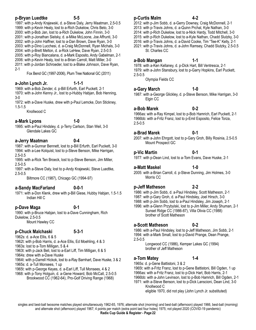### **p-Bryan Luedtke 5-5**

1997: with p-Andy Krajewski, d. a-Steve Daly, Jerry Maatman, 2.5-0.5 1999: with p-Kevin Healy, lost to a-Rich Dukelow, Chris Beto, 3-0 2000: with p-Bob Jan, lost to a-Rich Dukelow, John Finnin, 3-0 2001: with p-Jonathan Sielsky, d. a-Mike McLoone, Joe Affrunti, 3-0 2002: with p-John Haffner, lost to a-Dan Brown, Dave Ryan, 3-0 2003: with p-Dino Lucchesi, d. a-Craig McDonnell, Ryan Michals, 3-0 2004: with p-Brett Melton, d. a-Rick LeHew, Dave Ryan, 2.5-0.5 2005: with p-Roy Biancalana, d. a-Mark Esposito, Andy Gabelman, 2-1 2006: with p-Kevin Healy, lost to a-Brian Carroll, Matt Miller, 3-0 2011: with p-Jordan Schroeder, lost to a-Blake Johnson, Dave Ryan, 2-1

Fox Bend GC (1997-2006), Plum Tree National GC (2011)

### **a-John Lynch Jr. 1-1-1**

1969: with a-Bob Zender, d. p-Bill Erfurth, Earl Puckett, 2-1 1970: with a-John Kenny Jr., lost to p-Hubby Habjan, Bob Henning, 3-0

1972: with a-Dave Huske, drew with p-Paul Lemcke, Don Stickney, 1.5-1.5

Knollwood C

### **a-Mark Lyons 1-0**

1995: with a-Paul Hindsley, d. p-Terry Carlson, Stan Weil, 3-0

## **a-Jerry Maatman 0-4**

Glendale Lakes GC

1987: with a-Gunnar Bennett, lost to p-Bill Erfurth, Earl Puckett, 3-0 1994: with a-Lee Kolquist, lost to p-Steve Benson, Mike Harrigan, 2.5-0.5

1995: with a-Rick Ten Broeck, lost to p-Steve Benson, Jim Miller, 2.5-0.5

1997: with a-Steve Daly, lost to p-Andy Krajewski, Steve Luedtke, 2.5-0.5

Biltmore CC (1987), Chicago GC (1994-97)

## **a-Sandy MacFarland 0-0-1**

1971: with a-Don Klenk, drew with p-Bill Giese, Hubby Habjan, 1.5-1.5 Indian Hill C

## **p-Dave Maga 0-1**

1990: with p-Bruce Habjan, lost to a-Dave Cunningham, Rich Dukelow, 2.5-0.5 Mount Hawley CC

## **p-Chuck Malchaski 5-3-1**

1962s: d. a-Ace Ellis, 6 & 5

1962t: with p-Bob Harris, d. a-Ace Ellis, Ed Moehling, 4 & 3

1963s: lost to a-Tom Milligan, 5 & 4

1963t: with p-Jack Beli, lost to a-Earl Liff, Tim Milligan, 6 & 5

1964s: drew with a-Dave Huske

1964t: with p-Darrell Hickok, lost to a-Ray Barnhart, Dave Huske, 3 & 2 1965s: d. a-Tull Monsees, 1 up

1965t: with p-George Keyes, d. a-Earl Liff, Tull Monsees, 4 & 2

1968: with p-Tony Holguin, d. a-Gene Howard, Bob McCall, 2.5-0.5 Brookwood CC (1962-64), Pro-Golf Driving Range (1968)

### **p-Curtis Malm 4-2**

2012: with p-Jim Sobb, d. a-Gerry Downey, Craig McDonnell, 2-1

2013: with p-Travis Johns, d. a-Quinn Prchal, Kyle Nathan, 3-0

2014: with p-Rich Dukelow, lost to a-Nick Hardy, Todd Mitchell, 3-0

2015: with p-Rich Dukelow, lost to a-Kyle Nathan, Chadd Slutzky, 3-0

- 2016: with p-Travis Johns, d. a-David Cooke, Tim "Tee-K" Kelly, 2-1
- 2021: with p-Travis Johns, d. a-John Ramsey, Chadd Slutzky, 2.5-0.5 St. Charles CC

### **a-Bob Mangan 1-1**

1978: with a-Ken Kellaney, d. p-Dick Hart, Bill Ventresca, 2-1 1979: with a-John Stansbury, lost to p-Garry Hopkins, Earl Puckett, 2.5-0.5 Olympia Fields CC

### **a-Gary March 1-0**

1987: with a-George Glickley, d. p-Steve Benson, Mike Harrigan, 3-0 Elgin CC

### **a-Bob Marek 0-2**

1966as: with a-Ray Kimpel, lost to p-Bob Hamrich, Earl Puckett, 2-1 1966bb: with a-Fritz Franz, lost to p-Emil Esposito, Felice Torza, 2.5-0.5

### **a-Brad Marek 0-1**

### 2007: with a-John Ehrgott, lost to p-Gary Groh, Billy Rosinia, 2.5-0.5 Mount Prospect GC

**p-Vic Martin 0-1**  1977: with p-Dean Lind, lost to a-Tom Evans, Dave Huske, 2-1

### **a-Matt Maskel 1-0**

2005: with a-Brian Carroll, d. p-Steve Dunning, Jim Holmes, 3-0 Morris CC

### **p-Jeff Matheson 2-2**

1986: with p-Jim Sobb, d. a-Paul Hindsley, Scott Matheson, 2-1

1987: with p-Gary Groh, d. a-Paul Hindsley, Joel Hirsch, 3-0

- 1988: with p-Jim Sobb, lost to a-Paul Hindsley, Jim Joseph, 2-1
- 1996: with a-Glenn Przybylski, lost to p-Jim Miller, Andy Shuman, 2-1 Sunset Ridge CC (1986-87), Villa Olivia CC (1988) brother of Scott Matheson

## **a-Scott Matheson 0-2**

1986: with a-Paul Hindsley, lost to p-Jeff Matheson, Jim Sobb, 2-1 1994: with a-Mark Small, lost to p-David Prange, Dean Prange, 2.5-0.5

 Longwood CC (1986), Kemper Lakes GC (1994) brother of Jeff Matheson

# **a-Tom Matey 1-4**

1965s: d. p-Gene Battistoni, 3 & 2

1965t: with a-Fritz Franz, lost to p-Gene Battistoni, Bill Ogden, 1 up 1966as: with a-Fritz Franz, lost to p-Dick Hart, Bob Harris, 2-1 1966bb: with a-John Levinson, lost to p-Bob Hamrich, Bill Ogden, 2-1

1971: with a-Steve Benson, lost to p-Dick Lanscioni, Dean Lind, 3-0 Knollwood C

eligible 1970, did not play (John Lynch Jr. substituted)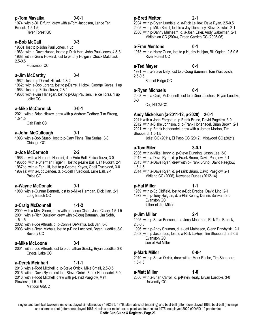# **p-Tom Mavaika 0-0-1**

1974: with p-Bill Erfurth, drew with a-Tom Jacobsen, Lance Ten Broeck, 1.5-1.5 River Forest GC

### **a-Bob McCall 0-3**

1963s: lost to p-John Paul Jones, 1 up 1963t: with a-Dave Huske, lost to p-Dick Hart, John Paul Jones, 4 & 3 1968: with a-Gene Howard, lost to p-Tony Holguin, Chuck Malchaski, 2.5-0.5

Flossmoor CC

### **a-Jim McCarthy 0-4**

1962s: lost to p-Darrell Hickok, 4 & 2

1962t: with a-Bob Lorenz, lost to p-Darrell Hickok, George Keyes, 1 up 1963s: lost to p-Felice Torza, 2 & 1

1963t: with a-Jim Flanagan, lost to p-Guy Paulsen, Felice Torza, 1 up Joliet CC

## **a-Mike McCormick 0-0-1**

2021: with a-Brian Hickey, drew with p-Andrew Godfrey, Tim Streng, 1.5-1.5 Oak Park CC

## **a-John McCullough 0-1**

1993: with a-Bob Stuebi, lost to p-Gary Pinns, Tim Surlas, 3-0 Chicago GC

### **a-Joe McDermott 2-2**

1966as: with a-Norando Nannini, d. p-Errie Ball, Felice Torza, 3-0 1966bb: with a-Sherman Finger III, lost to p-Errie Ball, Earl Puckett, 2-1 1967bb: with a-Earl Liff, lost to p-George Keyes, Odell Trueblood, 3-0 1967as: with a-Bob Zender, d. p-Odell Trueblood, Errie Ball, 2-1 Palos CC

## **a-Wayne McDonald 0-1**

1980: with a-Gunnar Bennett, lost to p-Mike Harrigan, Dick Hart, 2-1 Long Beach CC

## **a-Craig McDonnell 1-1-2**

2000: with a-Mike Stone, drew with p- Lance Olson, John Cleary, 1.5-1.5 2001: with a-Rich Dukelow, drew with p-Doug Bauman, Jim Sobb, 1.5-1.5

2002: with a-Joe Affrunti, d. p-Connie DeMattia, Bob Jan, 3-0

2003: with a-Ryan Michals, lost to p-Dino Lucchesi, Bryan Luedtke, 3-0 Beverly CC

## **a-Mike McLoone 0-1**

- 
- 2001: with a-Joe Affrunti, lost to p-Jonathan Sielsky, Bryan Luedtke, 3-0 Crystal Lake CC

# **a-Derek Meinhart 1-1-1**

2013: with a-Todd Mitchell, d. p-Steve Orrick, Mike Small, 2.5-0.5 2015: with a-Dave Ryan, lost to p-Steve Orrick, Frank Hohenadel, 3-0 2016: with a-Todd Mitchell, drew with p-David Paeglow, Matt Slowinski, 1.5-1.5 Mattoon G&CC

### **p-Brett Melton 2-1**

2004: with p-Bryan Luedtke, d. a-Rick LeHew, Dave Ryan, 2.5-0.5 2005: with p-Mike Small, lost to a-Jay Dempsey, Steve Sawtell, 2-1 2006: with p-Danny Mulhearn, d. a-Josh Esler, Andy Gabelman, 2-1

# **a-Fran Mentone 0-1**

1973: with a-Harry Gunn, lost to p-Hubby Hubjan, Bill Ogden, 2.5-0.5 River Forest CC

Midlothian CC (2004), Green Garden CC (2005-06)

### **a-Ted Meyer 0-1**

1991: with a-Steve Daly, lost to p-Doug Bauman, Tom Waitrovich, 2.5-0.5

Sunset Ridge CC

## **a-Ryan Michaels 0-1**

2003: with a-Craig McDonnell, lost to p-Dino Lucchesi, Bryan Luedtke, 3-0

Cog Hill G&CC

# **Andy Mickelson (a-2011-12, p-2020) 2-0-1**

2011: with a-John Ehrgott, d. p-Frank Bruno, David Pagelow, 3-0 2012: with a-Blake Johnson, d. p-Frank Hohenadel, Brian Brown, 2-1 2021: with p-Frank Hohenadel, drew with a-James Morton, Tim Sheppard, 1.5-1.5

Joliet CC (2011), El Paso GC (2012), Mistwood GC (2021)

## **a-Tom Miler 3-0-1**

2006: with a-Mike Henry, d. p-Steve Dunning, Jason Lee, 3-0 2012: with a-Dave Ryan, d. p-Frank Bruno, David Paeglow, 2-1 2013: with a-Dave Ryan, drew with p-Frank Bruno, David Paeglow, 1.5-1.5

2014: with a-Dave Ryan, d. p-Frank Bruno, David Paeglow, 2-1 Midland CC (2006), Kewanee Dunes (2012-14)

### **p-Hal Miller 1-1**

1969: with p-Ed Oldfield, lost to a-Bob Dredge, David Lind, 2-1 1973: with p-Tony Holguin, d. a-Phil Kenny, Dennis Sullivan, 3-0 Evanston GC

father of Jim Miller

## **p-Jim Miller 2-1**

1995: with p-Steve Benson, d. a-Jerry Maatman, Rick Ten Broeck, 2.5-0.5

1996: with p-Andy Shuman, d. a-Jeff Matheson, Glenn Przybylski, 2-1

2003: with p-Jason Lee, lost to a-Rick LeHew, Tim Sheppard, 2.5-0.5 Evanston GC son of Hal Miller

# **p-Mark Miller 0-0-1**

2010: with p-Steve Orrick, drew with a-Mark Roche, Tim Sheppard, 1.5-1.5

## **a-Matt Miller 1-0**

2006: with a-Brian Carroll, d. p-Kevin Healy, Bryan Luedtke, 3-0 University GC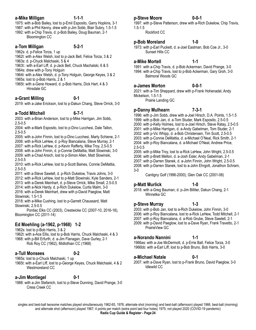# **a-Mike Milligan 1-1-1**

1975: with a-Bob Bailey, lost to p-Emil Esposito, Garry Hopkins, 3-1 1987: with a-Phil Kenny, drew with p-Jim Sobb, Blair Subry, 1.5-1.5 1992: with a-Chip Travis, d. p-Bob Bailey, Doug Bauman, 2-1 Bloomington CC

### **a-Tom Milligan 5-2-1**

1962s: d. p-Felice Torza, 1 up 1962t: with a-Alex Welsh, lost to p-Jack Bell, Felice Torza, 3 & 2 1963s: d. p-Chuck Malchaski, 5 & 4

1963t:: with a-Earl Liff, d. p-Jack Bell, Chuck Machalski, 6 & 5

1964s: drew with p-Tony Holguin

1964t: with a-Alex Welsh, d. p-Tony Holguin, George Keyes, 3 & 2

1965s: lost to p-Bob Harris, 2 & 1

1965t: with a-Gene Howard, d. p-Bob Harris, Dick Hart, 4 & 3 Hinsdale GC

# **a-Grant Milling 0-1**

2019: with a-Jake Erickson, lost to p-Dakun Chang, Steve Orrick, 3-0

### **a-Todd Mitchell 6-7-1**

2003: with a-Brian Anderson, lost to p-Mike Harrigan, Jim Sobb, 2.5-0.5

2004: with a-Mark Esposito, lost to p-Dino Lucchesi, Dale Tallon, 2.5-0.5

2005: with a-John Finnin, lost to p-Dino Lucchesi, Marty Schiene, 2-1 2006: with a-Rick LeHew, d. p-Roy Biancalana, Steve Murray, 2-1 2007: with a-Rick LeHew, d. p-Kevin Rafferty, Mike Troy, 2.5-0.5 2008: with a-John Finnin, d. p-Connie DeMattia, Matt Slowinski, 3-0 2009: with a-Chad Arsich, lost to p-Simon Allen, Matt Slowinski, 2.5-0.5

2010: with a-Rick LeHew, lost to p-Scott Baines, Connie DeMattia, 2.5-0.5

2011: with a-Steve Sawtell, d. p-Rich Dukelow, Travis Johns, 3-0

- 2012: with a-Rick LeHew, lost to p-Matt Slowinski, Kyle Sanders, 2-1
- 2013: with a-Derek Meinhart, d. p-Steve Orrick, Mike Small, 2.5-0.5

2014: with a-Nick Hardy, d. p-Rich Dukelow, Curtis Malm, 3-0 2016: with a-Derek Meinhart, drew with p-David Paeglow, Matt

Slowinski, 1.5-1.5 2018: with a-Mike Cushing, lost to p-Garrett Chaussard, Matt Slowinski, 2.5-0.5

 Pontiac Elks CC (2003), Crestwicke CC (2007-10, 2016-18), Bloomington CC (2011-14)

# **Ed Moehling (a-1962, p-1968) 1-2**

1962s: lost to p-Bob Harris, 3 & 2 1962t: with a-Ace Ellis, lost to p-Bob Harris, Chuck Malchaski, 4 & 3 1968: with p-Bill Erfurth, d. a-Jim Flanagan, Dave Gurley, 2-1 Rob Roy CC (1962), Midlothian CC (1968)

### **a-Tull Monsees 0-2**

1965s: lost to p-Chuck Malchaski, 1 up

1965t: with a-Earl Liff, lost to p-George Keyes, Chuck Malchaski, 4 & 2 Westmoreland CC

# **a-Jim Montiegel 0-1**

1988: with a-Jim Stefanich, lost to p-Steve Dunning, David Prange, 3-0 Cress Creek CC

### p-Steve Moore 0-0-1

1997: with p-Steve Patterson, drew with a-Rich Dukelow, Chip Travis, 1.5-1.5

Rockford CC

## **p-Bob Moreland 1-0**

1973: with p-Earl Puckett, d. a-Joel Eastman, Bob Coe Jr., 3-0 Sunset Hills CC

### **a-Mike Mortell 1-1**

1991: with a-Chip Travis, d. p-Bob Ackerman, David Prange, 3-0 1994: with a-Chip Travis, lost to p-Bob Ackerman, Gary Groh, 3-0 Balmoral Woods GC

### **a-James Morton 0-0-1**

2021: with a-Tim Sheppard, drew with p-Frank Hohenadel, Andy Mickelson, 1.5-1.5

Prairie Landing GC

### **p-Danny Mulhearn 7-3-1**

1996: with p-Jim Sobb, drew with a-Joel Hirsch, D.A. Points, 1.5-1.5 1999: with p-Bob Jan, d. a-Tom Studer, Mark Esposito, 2.5-0.5 2000: with p-Kelly Holmes, lost to a-Joel Hirsch, Steve Ratay, 2.5-0.5 2001: with p-Mike Harrigan, d. a-Andy Gabelman, Tom Studer, 2-1 2002: with p-Vic Whipp, d. a-Bob Christensen, Tim Scott, 2.5-0.5 2003: with p-Connie DeMattia, d. a-Michael O'Neal, Rick Smith, 2-1 2004: with p-Roy Biancalana, d. a-Michael O'Neal, Andrew Price, 2.5-0.5

2005: with p-Mike Troy, lost to a-Rick LeHew, John Wright, 2.5-0.5 2006: with p-Brett Melton, d. a-Josh Esler, Andy Gabelman, 2-1 2007: with p-Darren Stanek, d. a-John Finnin, John Wright, 2.5-0.5 2008: with p-Darren Stanek, lost to a-John Ehrgott, Jonathon Schram, 3-0

Cantigny Golf (1996-2000), Glen Oak CC (2001-08)

## **p-Matt Murlick 1-0**

2018: with a-Greg Bauman, d. p-Jim Billiter, Dakun Chang, 2-1 Winnetka GC

## **p-Steve Murray 1-3**

2003: with p-Bob Jan, lost to a-Rich Dukelow, John Finnin, 3-0 2006: with p-Roy Biancalana, lost to a-Rick LeHew, Todd Mitchell, 2-1 2007: with p-Roy Biancalana, d. a-Rob Grube, Steve Sawtell, 2-1 2009: with p-David Paeglow, lost to a-Dave Ryan, Frank Travetto, 2-1 PrairieView GC

### **a-Norando Nannini 1-1**

1966as: with a-Joe McDermott, d. p-Errie Ball, Felice Torza, 3-0 1966bb: with a-Earl Liff, lost to p-Bob Bruno, Bob Harris, 3-0

## **a-Michael Natale 0-1**

2007: with a-Dave Ryan, lost to p-Frank Bruno, David Paeglow, 3-0 Idlewild CC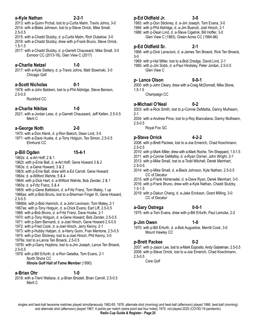# **a-Kyle Nathan 2-2-1**

2013: with a-Quinn Prchal, lost to p-Curtis Malm, Travis Johns, 3-0 2014: with a-Blake Johnson, lost to p-Steve Orrick, Mike Small, 2.5-0.5

2015: with a-Chadd Slutzky, d. p-Curtis Malm, Rich Dukelow, 3-0 2016: with a-Chadd Slutzky, drew with p-Frank Bruno, Steve Orrick, 1.5-1.5

2017: with a-Chadd Slutzky, d. p-Garrett Chaussard, Mike Small, 3-0 Exmoor CC (2013-16), Glen View C (2017)

### **a-Charlie Netzel 1-0**

2017: with a-Kyle Slattery, d. p-Travis Johns, Matt Slowinski, 3-0 Chicago Golf

## **a-Scott Nicholas 0-1**

1978: with a-John Baldwin, lost to p-Phil Aldridge, Steve Benson, 2.5-0.5

Rockford CC

### **a-Charlie Nikitas 1-0**

2021: with a-Jordan Less, d. p-Garrett Chaussard, Jeff Kellen, 2.5-0.5 Merit C

### **a-George Noth 2-0**

1970: with a-Don Klenk, d. p-Ron Bakich, Dean Lind, 3-0 1971: with a-Dave Huske, d. p-Tony Holguin, Tex Simon, 2.5-0.5

Elmhurst CC

### **p-Bill Ogden 15-4-1**

1962s: d. a-Art Hoff, 2 & 1

1962t: with p-Errie Ball, d. a-Art Hoff, Gene Howard 3 & 2

1963s: d. a-Gene Howard, 3 & 2

1963t: with p-Errie Ball, drew with a-Ed Carroll, Gene Howard 1964s: d. a-Wilford Wehrle, 5 & 4

1964t: with p-Dick Hart, d. a-Wilford Wehrle, Bob Zender, 2 & 1 1965s: d. a-Fritz Franz, 5 & 4

1965t: with p-Gene Battistoni, d. a-Fritz Franz, Tom Matey, 1 up

1966as: with p-Bob Bruno, lost to a-Sherman Finger III, Gene Howard, 2.5-0.5

1966bb: with p-Bob Hamrich, d. a-John Levinson, Tom Matey, 2-1

1967as: with p-Tony Holguin, d. a-Chick Evans, Earl Liff, 2.5-0.5

1968: with p-Bob Bruno, d. a-Fritz Franz, Dave Huske, 2-1

1970: with p-Tony Holguin, d. a-Gene Howard, Bob Zender, 2.5-0.5 1971: with p-Sam Bernardi, d. a-Joel Hirsch, Gene Howard 2.5-0.5

1972: with p-Fred Cook, d. a-Joel Hirsch, Jerry Kenny, 2-1

1973: with p-Hubby Habjan, d. a-Harry Gunn, Fran Mentone, 2.5-0.5 1974: with p-Don Stickney, lost to a-Joel Hirsch, Phil Kenny, 3-0

1976s: lost to a-Lance Ten Broeck, 2.5-0.5

1976t: with p-Garry Hopkins, lost to a-Jim Joseph, Lance Ten Broeck, 2.5-0.5

1978: with p-Bill Erfurth, d. a-Ron Gelatka, Tom Evans, 2-1 North Shore CC

**Illinois Golf Hall of Fame Member** (1990)

# **a-Brian Ohr 1-0**

2018: with a-Trent Wallace, d. p-Brian Brodell, Brian Carroll, 2.5-0.5 Merit C

# **p-Ed Oldfield Jr. 3-0**

1983: with p-Don Stickney, d. a-Jim Joseph, Tom Evans, 3-0

1984: with p-Phil Aldridge, d. a-Jim Buenzli, Joel Hirsch, 2-1 1986: with p-Dean Lind, d. a-Steve Cigelnik, Bill Hoffer, 3-0 Glen View C (1983), Green Acres CC (1984-86)

# **p-Ed Oldfield Sr. 2-1**

1968: with p-Dick Lanscioni, d. a-James Ten Broeck, Rick Ten Broeck, 3-0

1969: with p-Hal Miller, lost to a-Bob Dredge, David Lind, 2-1

1985: with p-Jim Sobb, d. a-Paul Hindsley, Peter Jordan, 2.5-0.5 Glen View C

# **p- Lance Olson 0-0-1**

2000: with p-John Cleary, drew with a-Craig McDonnell, Mike Stone, 1.5-1.5

Champaign CC

# **a-Michael O'Neal 0-2**

2003: with a-Rick Smith, lost to p-Connie DeMattia, Danny Mulhearn, 2-1

2004: with a-Andrew Price, lost to p-Roy Biancalana, Danny Mulhearn, 2.5-0.5

Royal Fox GC

# **p-Steve Orrick 4-2-2**

2008: with p-Brett Packee, lost to a-Joe Emerich, Chad Koschmann, 2.5-0.5

2010: with p-Mark Miller, drew with a-Mark Roche, Tim Sheppard, 1.5-1.5

2011: with p-Connie DeMattia, d. a-Ryan Dorner, John Wright, 2-1

- 2013: with p-Mike Small, lost to a-Todd Mitchell, Derek Meinhart,
- 2.5-0-5
- 2014: with p-Mike Small, d. a-Black Johnson, Kyle Nathan, 2.5-0.5 CC of Decatur
- 2015: with p-Frank Hohenadel, d. a-Dave Ryan, Derek Meinhart, 3-0

2016: with p-Frank Bruno, drew with a-Kyle Nathan, Chadd Slutzky, 1.5-1.5

2019: with p-Dakun Chang, d. a-Jake Erickson, Grant Milling, 3-0 CC of Decatur

## **a-Gary Ostrega 0-0-1**

1975: with a-Tom Evans, drew with p-Bill Erfurth, Paul Lemcke, 2-2

### **p-Jim Owen 1-0**

1970: with p-Bill Erfurth, d. a-Bob Augustine, Merritt Cook, 3-0 Mount Hawley CC

## **p-Brett Packee 0-2**

2007: with p-Jason Lee, lost to a-Mark Esposito, Andy Gabelman, 2.5-0.5 2008: with p-Steve Orrick, lost to a-Joe Emerich, Chad Koschmann, 2.5-0.5

Core Golf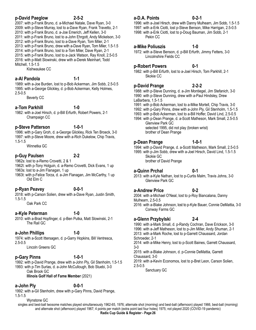# **p-David Paeglow 2-5-2**

2007: with p-Frank Bruno, d. a-Michael Natale, Dave Ryan, 3-0 2009: with p-Steve Murray, lost to a-Dave Ryan, Frank Travetto, 2-1 2010: with p-Frank Bruno, d. a-Joe Emerich, Jeff Kellen, 3-0 2011: with p-Frank Bruno, lost to a-John Ehrgott, Andy Mickelson, 3-0 2012: with p-Frank Bruno, lost to a-Dave Ryan, Tom Miler, 2-1 2013: with p-Frank Bruno, drew with a-Dave Ryan, Tom Miler, 1.5-1.5 2014: with p-Frank Bruno, lost to a-Tom Miler, Dave Ryan, 2-1 2015: with p-Frank Bruno, lost to a-Jack Watson, Ray Knoll, 2.5-0.5 2016: with p-Matt Slowinski, drew with a-Derek Meinhart, Todd Mitchell, 1.5-1.5

Kishwaukee CC

### **a-Al Pandola 1-1**

1989: with a-Joe Burden, lost to p-Bob Ackerman, Jim Sobb, 2.5-0.5 1995: with a-George Glickley, d. p-Bob Ackerman, Kelly Holmes, 2.5-0.5

Beverly CC

### **a-Tom Parkhill 1-0**

1982: with a-Joel Hirsch, d. p-Bill Erfurth, Robert Powers, 2-1 Champaign CC

### **p-Steve Patterson 1-0-1**  1996: with p-Gary Groh, d. a-George Glickley, Rick Ten Broeck, 3-0 1997: with p-Steve Moore, drew with a-Rich Dukelow, Chip Travis, 1.5-1.5

Winnetka GC

### **p-Guy Paulsen 2-2**

1962s: lost to a-Remo Crovetti, 2 & 1 1962t: with p-Tony Holguin, d. a-Remo Crovetti, Dick Evans, 1 up 1963s: lost to a-Jim Flanagan, 1 up

1963t: with p-Felice Torza, d. a-Jim Flanagan, Jim McCarthy, 1 up Old Elm C

### **p-Ryan Peavey 0-0-1**

2018: with p-Carson Solien, drew with a-Dave Ryan, Justin Smith, 1.5-1.5

Oak Park CC

### **a-Kyle Peterman 1-0**

2010: with a-Brad Hopfinger, d. p-Ben Putka, Matt Slowinski, 2-1 The Rail GC

### **a-John Phillips 1-0**

1974: with a-Scott Ittersagen, d. p-Garry Hopkins, Bill Ventresca, 2.5-0.5

Lincoln Greens GC

### **p-Gary Pinns 1-0-1**

1992: with p-David Prange, drew with a-John Ply, Gil Stenholm, 1.5-1.5 1993: with p-Tim Surlas, d. a-John McCullough, Bob Stuebi, 3-0 Oak Brook GC

**Illinois Golf Hall of Fame Member** (2021)

# **a-John Ply 0-0-1**

1992: with a-Gil Stenholm, drew with p-Gary Pinns, David Prange, 1.5-1.5

# Wynstone GC

singles and best-ball twosome matches played simultaneously 1962-65, 1976; alternate shot (morning) and best-ball (afternoon) played 1966, best-ball (morning) and alternate shot (afternoon) played 1967; 4 points per match (extra point last four holes) 1975; not played 2020 (COVID-19 pandemic) **Radix Cup Guide & Register - Page 26**

### **a-D.A. Points 0-2-1**

1996: with a-Joel Hirsch, drew with Danny Mulhearn, Jim Sobb, 1.5-1.5 1997: with a-Erik Ciotti, lost p-Steve Benson, Mike Harrigan, 2.5-0.5 1998: with a-Erik Ciotti, lost to p-Doug Bauman, Jim Sobb, 2-1 Pekin CC

### **a-Mike Poliuszis 1-0**

1972: with a-Steve Benson, d. p-Bill Erfurth, Jimmy Fetters, 3-0 Lincolnshire Fields CC

## **p-Robert Powers 0-1**

1982: with p-Bill Erfurth, lost to a-Joel Hirsch, Tom Parkhill, 2-1 Skokie CC

# **p-David Prange 2-2-2**

1988: with p-Steve Dunning, d. a-Jim Montiegel, Jim Stefanich, 3-0 1990: with p-Steve Dunning, drew with a-Paul Hindsley, Drew LaBarbera, 1.5-1.5

1991: with p-Bob Ackerman, lost to a-Mike Mortell, Chip Travis, 3-0

- 1992: with p-Gary Pinns, drew with a-John Ply, Gil Stenholm, 1.5-1.5
- 1993: with p-Bob Ackerman, lost to a-Bill Hoffer, David Lind, 2.5-0.5
- 1994: with p-Dean Prange, d. a-Scott Matheson, Mark Small, 2.5-0.5 Glenview Park GC selected 1995, did not play (broken wrist)

brother of Dean Prange

## **p-Dean Prange 1-0-1**

1994: with p-David Prange, d. a-Scott Matheson, Mark Small, 2.5-0.5

1995: with p-Jim Sobb, drew with a-Joel Hirsch, David Lind, 1.5-1.5 Skokie GC

brother of David Prange

## **a-Quinn Prchal 0-1**

2013: with a-Kyle Nathan, lost to p-Curtis Malm, Travis Johns, 3-0 Glenview Park GC

### **a-Andrew Price 0-2**

2004: with a-Michael O'Neal, lost to p-Roy Biancalana, Danny Mulhearn, 2.5-0.5 2016: with a-Blake Johnson, lost to p-Kyle Bauer, Connie DeMattia, 3-0 Conway Farms GC

## **a-Glenn Przybylski 2-4**

1990: with a-Mark Small, d. p-Randy Cochran, Dave Erickson, 3-0 1996: with a-Jeff Matheson, lost to p-Jim Miller, Andy Shuman, 2-1 2013: with a-Mark Roche, lost to p-Garrett Chaussard, Jordan Schroeder, 2-1 2014: with a-Mike Henry, lost to p-Scott Baines, Garrett Chaussard, 3-0 2015: with a-Blake Johnson, d. p-Connie DeMattia, Garrett Chaussard, 3-0 2019: with a-Kevin Economos, lost to p-Bret Leon, Carson Solien, 2.5-0.5

Sanctuary GC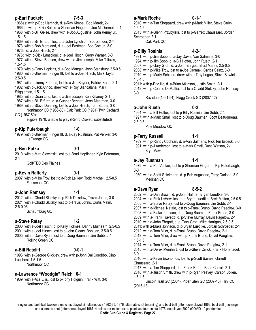## **p-Earl Puckett 7-5-3**

1966as: with p-Bob Hamrich, d. a-Ray Kimpel, Bob Marek, 2-1 1966bb: with p-Errie Ball, d. a-Sherman Finger III, Joe McDermott, 2-1 1968: with p-Bill Geise, drew with a-Bob Augustine, John Kenny Jr., 1.5-1.5

1969: with p-Bill Erfurth, lost to a-John Lynch Jr., Bob Zender, 2-1 1973: with p-Bob Moreland, d. a-Joel Eastman, Bob Coe Jr., 3-0 1976s: d. a-Joel Hirsch, 2-1

1976t: with p-Dick Lanscioni, d. a-Joel Hirsch, Gerry Warner, 3-0 1977: with p-Steve Benson, drew with a-Jim Joseph, Mike Toliuzis, 1.5-1.5

1979: with p-Garry Hopkins, d. a-Bob Mangan, John Stansbury, 2.5-0.5 1980: with p-Sherman Finger III, lost to a-Joel Hirsch, Mark Taylor, 2.5-0.5

1981: with p-Jimmy Formas, lost to a-Jim Snyder, Patrick Keen, 2-1 1982: with p-Jack Anrico, drew with a-Roy Biancalana, Mark Stiggleman, 1.5-1.5

1985: with p-Dean Lind, lost to a-Jim Joseph, Ken Killaney, 2-1

- 1987: with p-Bill Erfurth, d. a-Gunnar Bennett, Jerry Maatman, 3-0
- 1989: with p-Steve Dunning, lost to a-Joel Hirsch, Tom Studer, 3-0 Northmoor CC (1966-80), Oak Park CC (1981) Twin Orchard
- CC (1987-89)

eligible 1970, unable to play (Remo Crovetti substituted)

### **p-Kip Puterbaugh 1-0**

1979: with p-Sherman Finger III, d. a-Jay Rustman, Pat Venker, 3-0 LaGrange CC

# **p-Ben Putka 0-1**

2010: with p-Matt Slowinski, lost to a-Brad Hopfinger, Kyle Peterman, 2-1

Golf/TEC Des Plaines

## **p-Kevin Rafferty 0-1**

### 2007: with p-Mike Troy, lost to a-Rick LeHew, Todd Mitchell, 2.5-0.5 Flossmoor CC

### **a-John Ramsey 1-1**

2012: with a-Chadd Slutzky, d. p-Rich Dukelow, Travis Johns, 3-0 2021: with a-Chadd Slutzky, lost to p-Travis Johns, Curtis Malm, 2.5-0.05

Schaumburg GC

### **a-Steve Ratay 1-2**

2000: with a-Joel Hirsch, d. p-Kelly Holmes, Danny Mulhearn, 2.5-0.5 2001: with a-Joel Hirsch, lost to p-John Cleary, Bob Jan, 2.5-0.5 2005: with a-Dave Ryan, lost to p-Doug Bauman, Jim Sobb, 2-1 Rolling Green CC

**a-Bill Ratcliff 0-0-1** 

1993: with a-George Glickley, drew with p-John Dal Corobbo, Dino Lucchesi, 1.5-1.5 Northmoor CC

## **a-Lawrence "Woodgie" Reich 0-1**

1969: with a-Ace Ellis, lost to p-Tony Holguin, Frank Witt, 3-0 Northmoor CC

### **a-Mark Roche 0-1-1**

2010: with a-Tim Sheppard, drew with p-Mark Miller, Steve Orrick, 1.5-1.5

2013: with a-Glenn Przybylski, lost to p-Garrett Chaussard, Jordan Schroeder, 2-1

Oak Park CC

# **p-Billy Rosinia 4-2-1**

1991: with p-Jim Sobb, d. a-Jay Davis, Van Salmans, 3-0

1994: with p-Jim Sobb, d. a-Bill Hoffer, John Rueth, 2-1

- 2007: with p-Gary Groh, d. a-John Ehrgott, Brad Marek, 2.5-0.5
- 2008: with p-Mike Troy, lost to a-Joe Cermak, Carlos Sainz, 3-0
- 2010: with p-Marty Schiene, drew with a-Troy Logan, Steve Sawtell, 1.5-1.5
- 2011: with p-Eric Ilic, d. a-Brian Atkinson, Justin Smith, 2-1

2012: with p-Connie DeMattia, lost to a-Chadd Slutzky, John Ramsey, 3-0

Ravisloe (1991-94), Flagg Creek GC (2007-12)

# **a-John Rueth 0-2**

1994: with a-Bill Hoffer, lost to p-Billy Rosinia, Jim Sobb, 2-1 1997: with a-Mark Small, lost to p-Doug Bauman, Scott Beaugureau, 2.5-0.5

Pine Meadow GC

## **p-Terry Russell 1-1**

1989: with p-Randy Cochran, d. a-Van Salmans, Rick Ten Broeck, 3-0 1991: with p-J Anderson, lost to a-Mark Small, Dusti Watson, 2-1 Bryn Mawr

### **a-Jay Rustman 1-1**

1979: with a-Pat Venker, lost to p-Sherman Finger III, Kip Puterbaugh, 3-0

1980: with a-Scott Spielmann, d. p-Bob Augustine, Terry Carlson, 3-0 Medinah CC

### **a-Dave Ryan 8-5-2**

2002: with a-Dan Brown, d. p-John Haffner, Bryan Luedtke, 3-0 2004: with a-Rick LeHew, lost to p-Bryan Luedtke, Brett Melton, 2.5-0.5 2005: with a-Steve Ratay, lost to p-Doug Bauman, Jim Sobb, 2-1 2007: with a-Michael Natale, lost to p-Frank Bruno, David Paeglow, 3-0 2008: with a-Blake Johnson, d. p-Doug Bauman, Frank Bruno, 3-0 2009: with a-Frank Travetto, d. p-Steve Murray, David Pagelow, 2-1 2010: with a-John Ehrgott, d. p-Gary Groh, Mike Harrigan, 2.5-0.5 2011: with a-Blake Johnson, d. p-Bryan Luedtke, Jordan Schroeder, 2-1 2012: with a-Tom Miler, d. p-Frank Bruno, David Paeglow, 2-1 2013: with a-Tom Miler, drew with p-Frank Bruno, David Paeglow, 1.5-1.5 2014: with a-Tom Miler, d. p-Frank Bruno, David Paeglow, 2-1 2015: with a-Derek Meinhart, lost to p-Steve Orrick, Frank Hohenadel, 3-0 2016: with a-Kevin Economos, lost to p-Scott Baines, Garrett Chaussard, 2-1 2017: with a-Tim Sheppard, d. p-Frank Bruno, Brian Carroll, 2-1 2018: with a-Justin Smith, drew with p-Ryan Peavey, Carson Solien, 1.5-1.5

 Lincoln Trail GC (2004), Piper Glen GC (2007-15), Illini CC (2016-18)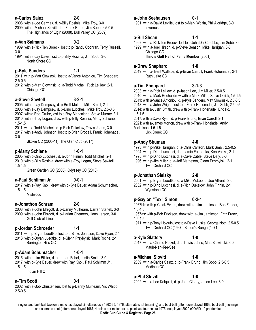# **a-Carlos Sainz 2-0**

2008: with a-Joe Cermak, d. p-Billy Rosinia, Mike Troy, 3-0 2009: with a-Michael Slovitt, d. p-Frank Bruno, Jim Sobb, 2.5-0.5 The Highlands of Elgin (2008), Bull Valley CC (2009)

# **a-Van Salmans 0-2**

1989: with a-Rick Ten Broeck, lost to p-Randy Cochran, Terry Russell, 3-0

1991: with a-Jay Davis, lost to p-Billy Rosinia, Jim Sobb, 3-0 North Shore CC

# **p-Kyle Sanders 1-1**

2011: with p-Matt Slowinski, lost to a-Vance Antoniou, Tim Sheppard, 2.5-0.5

2012: with p-Matt Slowinski, d. a-Todd Mitchell, Rick LeHew, 2-1. Chicago GC

# **a-Steve Sawtell 3-2-1**

2005: with a-Jay Dempsey, d. p-Brett Melton, Mike Small, 2-1 2006: with a-Jay Dempsey, d. p-Dino Lucchesi, Mike Troy, 2.5-0.5 2007: with a-Rob Grube, lost to p-Roy Biancalana, Steve Murray, 2-1 2010: with a-Troy Logan, drew with p-Billy Rosinia, Marty Schiene, 1.5-1.5

2011: with a-Todd Mitchell, d. p-Rich Dukelow, Travis Johns, 3-0 2017: with a-Andy Johnson, lost to p-Brian Brodell, Frank Hohenadel, 3-0

Skokie CC (2005-11), The Glen Club (2017)

# **p-Marty Schiene 1-0-1**

2005: with p-Dino Lucchesi, d. a-John Finnin, Todd Mitchell, 2-1 2010: with p-Billy Rosinia, drew with a-Troy Logan, Steve Sawtell, 1.5-1.5

Green Garden GC (2005), Odyssey CC (2010)

# **a-Paul Schlimm Jr. 0-0-1**

2017: with a-Ray Knoll, drew with p-Kyle Bauer, Adam Schumacher, 1.5-1.5

Mistwood

# **a-Jonathon Schram 2-0**

2008: with a-John Ehrgott, d. p-Danny Mulhearn, Darren Stanek, 3-0 2009: with a-John Ehrgott, d. p-Harlan Chemers, Hans Larson, 3-0 Golf Club of Illinois

# **p-Jordan Schroeder 1-1**

2011: with p-Bryan Luedtke, lost to a-Blake Johnson, Dave Ryan, 2-1 2013: with p-Bryan Luedtke, d. a-Glenn Przybylski, Mark Roche, 2-1 Barrington Hills CC

## **p-Adam Schumacher 1-0-1**

2015: with p-Jim Billiter, d. a-Jordan Fahel, Justin Smith, 3-0 2017: with p-Kyle Bauer, drew with Ray Knoll, Paul Schlimm Jr., 1.5-1.5

Indian Hill C

## **a-Tim Scott 0-1**

2002: with a-Bob Christensen, lost to p-Danny Mulhearn, Vic Whipp, 2.5-0.5

## **a-John Seehausen 0-1**

1981: with a-David Leville, lost to p-Mark Wolfla, Phil Aldridge, 3-0 Inverness

# **a-Bill Shean 1-1**

- 1992: with a-Rick Ten Broeck, lost to p-John Dal Corobbo, Jim Sobb, 3-0 1999: with a-Joel Hirsch, d. p-Steve Benson, Mike Harrigan, 3-0
- Chicago GC

**Illinois Golf Hall of Fame Member** (2001)

# **a-Drew Shephard 1-0**

2019: with a-Trent Wallace, d. p-Brian Carroll, Frank Hohenadel, 2-1 Ruth Lake CC

# **a-Tim Sheppard 3-1-3**

2003: with a-Rick LeHew, d. p-Jason Lee, Jim Miller, 2.5-0.5 2010: with a-Mark Roche, drew with p-Mark Miller, Steve Orrick, 1.5-1.5 2011: with a-Vance Antoniou, d. p-Kyle Sanders, Matt Slowinski, 2.5-0.5 2013: with a-John Wright, lost to p-Frank Hohenadel, Jim Sobb, 2.5-0.5 2014: with a-Justin Smith, drew with p-Frank Hohenadel, Eric Ilic, 1.5-1.5 2017: with a-Dave Ryan, d. p-Frank Bruno, Brian Carroll, 2-1

2021: with a-James Morton, drew with p-Frank Hoheladel, Andy Mickelson, 1.5-1.5

Lick Creek GC

# **p-Andy Shuman 4-0**

1993: with p-Mike Harrigan, d. a-Chris Carlson, Mark Small, 2.5-0.5 1994: with p-Dino Lucchesi, d. a-Jamie Fairbanks, Ken Vanko, 2-1 1995: with p-Dino Lucchesi, d. a-Dave Cable, Steve Daly, 3-0 1996: with p-Jim Miller, d. a-Jeff Matheson, Glenn Przybylski, 2-1 Twin Orchard CC

## **p-Jonathan Sielsky 2-0**

2001: with p-Bryan Luedtke, d. a-Mike McLoone, Joe Affrunti, 3-0 2002: with p-Dino Lucchesi, d. a-Rich Dukelow, John Finnin, 2-1 Wynstone CC

# **p-Gaylon "Tex" Simon 0-2-1**

1967bb: with p-Chick Evans, drew with a-Jim Jamieson, Bob Zender, 1.5-1.5

1967as: with p-Bob Erickson, drew with a-Jim Jamieson, Fritz Franz, 1.5-1.5

1971: with p-Tony Holguin, lost to a-Dave Huske, George Noth, 2.5-0.5 Twin Orchard CC (1967), Simon's Range (1971)

## **a-Kyle Slattery 1-0**

2017: with a-Charlie Netzel, d. p-Travis Johns, Matt Slowinski, 3-0 Mauh-Nah-Tee-See

## **a-Michael Slovitt 1-0**

2009: with a-Carlos Sainz, d. p-Frank Bruno, Jim Sobb, 2.5-0.5 Medinah CC

# **a-Phil Slovitt 1-0**

2002: with a-Lee Kolquist, d. p-John Cleary, Jason Lee, 3-0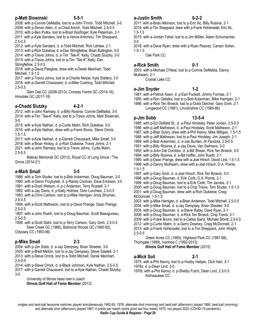### **p-Matt Slowinski 5-5-1**

2008: with p-Connie DeMattia, lost to a-John Finnin, Todd Mitchell, 3-0 2009: with p-Simon Allen, d. a-Chad Arsich, Todd Mitchell, 2.5-0.5

2010: with p-Ben Putka, lost to a-Brad Hopfinger, Kyle Peterman, 2-1 2011: with p-Kyle Sanders, lost to a-Vance Antoniou, Tim Sheppard, 2.5-0.5

2012: with p-Kyle Sanders, d. a-Todd Mitchell, Rick LeHew, 2-1.

2013: with p-Rich Dukelow, d. a-Dan Stringfellow, Brian Bullington, 3-0

2014: with p-Travis Johns, d. a-Tim "Tee-K" Kelly, Chadd Slutzky, 3-0

2015: with p-Travis Johns, lost to a-Tim "Tee-K" Kelly, Dan

Stringfellow, 2.5-0.5

2016: with p-David Paeglow, drew with a-Derek Meinhart, Todd Mitchell, 1.5-1.5

2017: with p-Travis Johns, lost to a-Charlie Netzel, Kyle Slattery, 3-0 2018: with p-Garrett Chaussard, d. a-Mike Cushing, Todd Mitchell, 2.5-0.5

 Glen Oak CC (2008-2013), Conway Farms GC (2014-16), Hinsdale GC (2017-18)

# **a-Chadd Slutzky 4-2-1**

2012: with a-John Ramsey, d. p-Billy Rosinia, Connie DeMattia, 3-0 2014: with a-Tim "Tee-K" Kelly, lost to p-Travis Johns, Matt Slowinski, 3-0

2015: with a-Kyle Nathan, d. p-Curtis Malm, Rich Dukelow, 3-0 2016: with a-Kyle Nathan, drew with p-Frank Bruno, Steve Orrick, 1.5-1.5

2017: with a-Kyle Nathan, d. p-Garrett Chaussard, Mike Small, 3-0

2018: with a-Brian Hickey, d. p-Rich Dukelow, Travis Johns, 2-1 2021: with a-John Ramsey, lost to p-Travis Johns, Curtis Malm, 2.5-0.5

 Makray Memorial GC (2012), Royal CC of Long Grove / The Grove (2014-21)

**a-Mark Small 3-5** 

1986: with a-Tom Studer, lost to p-Bob Ackerman, Doug Bauman, 3-0 1990: with a-Glenn Przybylski, d. p-Randy Cochran, Dave Erickson, 3-0

1991: with a-Dusti Watson, d. p-J Anderson, Terry Russell, 2-1 1992: with a-Jay Davis, d. p-Kelly Holmes, Dino Lucchesi, 2.5-0.5

1993: with a-Chris Carlson, lost to p-Mike Harrigan, Andy Shuman, 2.5-0.5

1994: with a-Scott Matheson, lost to p-David Prange, Dean Prange, 2.5-0.5

1997: with a-John Rueth, lost to p-Doug Bauman, Scott Beaugureau, 2.5-0.5

1998: with a-Scott Stahr, lost to p-Terry Carlson, Gary Groh, 2.5-0.5 Deer Creek GC (1986), Balmoral Woods GC (1990-92),

Odyssey CC (1993-98)

## **p-Mike Small 2-3**

2004: with p-Jim Sobb, d. a-Jay Dempsey, Brian Streeter, 3-0 2005: with p-Brett Melton, lost to a-Jay Dempsey, Steve Sawtell, 2-1 2013: with p-Steve Orrick, lost to a-Todd Mitchell, Derek Meinhart, 2.5-0-5

2014: with p-Steve Orrick, d. a-Black Johnson, Kyle Nathan, 2.5-0.5 2017: with p-Garrett Chaussard, lost to a-Kyle Nathan, Chadd Slutzky, 3-0

 University of Illinois head men's coach **Illinois Golf Hall of Fame Member** (2013)

### **a-Justin Smith 0-2-2**

2011: with a-Brian Atkinson, lost to p-Eric Ilic, Billy Rosinia, 2-1 2014: with a-Tim Sheppard, drew with p-Frank Hohenadel, Eric Ilic, 1.5-1.5

2015: with a-Jordan Fahel, lost to p-Jim Billiter, Adam Schumacher, 3-0

2018: with a-Dave Ryan, drew with p-Ryan Peavey, Carson Solien, 1.5-1.5

Oak Park CC

### **a-Rick Smith 0-1**

2003: with a-Michael O'Neal, lost to p-Connie DeMattia, Danny Mulhearn, 2-1

Crystal Lake CC

### **a-Jim Snyder 1-2**

1981: with a-Patrick Keen, d. p-Earl Puckett, Jimmy Formas, 2-1 1985: with a-Ron Gelatka, lost to p-Bob Ackerman, Mike Harrigan, 2-1 1986: with a-Rick Ten Broeck, lost to p-Duke Delcher, Gary Groh, 2-1 Longwood CC (1981), Lincolnshire CC (1985-86)

## **p-Jim Sobb 13-5-4**

1985: with p-Ed Oldfield Sr., d. a-Paul Hindsley, Peter Jordan, 2.5-0.5

1986: with p-Jeff Matheson, d. a-Paul Hindsley, Scott Matheson, 2-1

1987: with p-Blair Subry, drew with a-Phil Kenny, Mike Milligan, 1.5-1.5 1988: with p-Jeff Matheson, lost to a-Paul Hindsley, Jim Joseph, 2-1

1989: with p-Bob Ackerman, d. a-Joe Burden, Al Pandola, 2.5-0.5

1991: with p-Billy Rosinia, d. a-Jay Davis, Van Salmans, 3-0

1992: with p-John Dal Corobbo, d. a-Bill Shean, Rick Ten Broeck, 3-0

1994: with p-Billy Rosinia, d. a-Bill Hoffer, John Rueth, 2-1

1995: with p-Dean Prange, drew with a-Joel Hirsch, David Lind, 1.5-1.5 1996: with p-Danny Mulhearn, drew with a-Joel Hirsch, D.A. Points, 1.5-1.5

- 1997: with p-Gary Groh, d. a-Joel Hirsch, Rick Ten Broeck, 3-0
- 1998: with p-Doug Bauman, d. Erik Ciotti, D.A. Points, 2-1

1999: with p-Doug Bauman, lost to a-Erik Ciotti, Tim Jacobs, 2-1

2000: with p-Doug Bauman, lost to a-Chip Travis, Tom Studer, 1.5-1.5

2001: with p-Doug Bauman, drew with a-Rich Dukelow, Craig McDonnell, 1.5-1.5

2003: with p-Mike Harrigan, d. a-Brian Anderson, Todd Mitchell, 2.5-0.5 2004: with p-Mike Small, d. a-Jay Dempsey, Brian Streeter, 3-0 2005: with p-Doug Bauman, d. a-Steve Ratay, Dave Ryan, 2-1 2006: with p-Doug Bauman, d. a-Rick Ten Broeck, Chip Travis, 2-1 2009: with p-Frank Bruno, lost to a-Carlos Sainz, Michael Slovitt, 2.5-0.5

2012: with p-Curtis Malm, d. a-Gerry Downey, Craig McDonnell, 2-1 2013: with p-Frank Hohenadel, lost to a-Tim Sheppard, John Wright, 2.5-0.5

 Green Acres CC (1985), Highland Park CC (1987-88), Thorngate (1989), Ivanhoe C (1992-2013)

**Illinois Golf Hall of Fame Member** (2015)

## **a-Mick Soli 2-1**

1975: with a-Phil Kenny, lost to p-Hubby Habjan, Dick Hart, 3-1 1976s: d. p-Dean Lind, 3-0

1976t: with a-Phil Kenny, d. p-Shelby Futch, Dean Lind, 2.5-0.5 Kishwaukee CC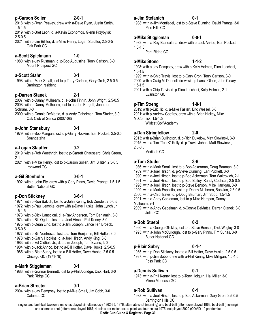### 1982: with a-Roy Biancalana, drew with p-Jack Anrico, Earl Puckett, 1.5-1.5

Park Ridge CC

Pine Hills CC

### **a-Mike Stone 1-1-2**

1998: with a-Jay Dempsey, drew with p-Kelly Holmes, Dino Lucchesi, 1.5-1.5

1999: with a-Chip Travis, lost to p-Gary Groh, Terry Carlson, 3-0 2000: with a-Craig McDonnell, drew with p-Lance Olson, John Cleary, 1.5-1.5

2001: with a-Chip Travis, d. p-Dino Lucchesi, Kelly Holmes, 2-1 Evanston GC

### **p-Tim Streng 1-0-1**

2019: with p-Eric Ilic, d. a-Mike Fastert, Eric Wessel, 3-0 2021: with p-Andrew Godfrey, drew with a-Brian Hickey, Mike McCormick, 1.5-1.5 Wildcat Golf Academy

### **a-Dan Stringfellow 2-0**

2013: with a-Brian Bullington, d. p-Rich Dukelow, Matt Slowinski, 3-0 2015: with a-Tim "Tee-K" Kelly, d. p-Travis Johns, Matt Slowinski, 2.5-0.5

Medinah CC

### **a-Tom Studer 3-6**

1986: with a-Mark Small, lost to p-Bob Ackerman, Doug Bauman, 3-0 1989: with a-Joel Hirsch, d. p-Steve Dunning, Earl Puckett, 3-0 1990: with a-Joel Hirsch, lost to p-Bob Ackerman, Tom Waitrovich, 2-1 1991: with a-Joel Hirsch, lost to p-Bob Bailey, Randy Cochran, 2.5-0.5 1998: with a-Joel Hirsch, lost to p-Steve Benson, Mike Harrigan, 3-0 1999: with a-Mark Esposito, lost to p-Danny Mulhearn, Bob Jan, 2.5-0.5 2000: with a-Chip Travis, d. p-Doug Bauman, Jim Sobb, 1.5-1.5 2001: with a-Andy Gableman, lost to p-Mike Harrigan, Danny

Mulhearn, 2-1

2009: with a-Andy Gabelman, d. p-Connie DeMattia, Darren Stanek, 3-0 Joliet CC

### **a-Bob Stuebi 0-2**

1990: with a-George Glickley, lost to p-Steve Benson, Dick Wagley, 3-0 1993: with a-John McCullough, lost to p-Gary Pinns, Tim Surlas, 3-0 Butler National GC

### **p-Blair Subry 0-1-1**

1985: with p-Don Stickney, lost to a-Bill Hoffer, Dave Huske, 2.5-0.5 1987: with p-Jim Sobb, drew with a-Phil Kenny, Mike Milligan, 1.5-1.5 Foss Park GC

### **a-Dennis Sullivan 0-1**

1973: with a-Phil Kenny, lost to p-Tony Holguin, Hal Miller, 3-0 Minne Monesse GC

### **a-Rob Sullivan 0-1**

1988: with a-Joel Hirsch, lost to p-Bob Ackerman, Gary Groh, 2.5-0.5 Barrington Hills CC

singles and best-ball twosome matches played simultaneously 1962-65, 1976; alternate shot (morning) and best-ball (afternoon) played 1966, best-ball (morning) and alternate shot (afternoon) played 1967; 4 points per match (extra point last four holes) 1975; not played 2020 (COVID-19 pandemic) **Radix Cup Guide & Register - Page 30**

# **a-Scott Spielmann 1-0**

Oak Park CC

1980: with a-Jay Rustman, d. p-Bob Augustine, Terry Carlson, 3-0 Mount Prospect GC

2018: with p-Ryan Peavey, drew with a-Dave Ryan, Justin Smith,

2019: with p-Bret Leon, d. a-Kevin Economos, Glenn Przybylski,

2021: with p-Jim Billiter, d. a-Mike Henry, Logan Stauffer, 2.5-0-5

### **a-Scott Stahr 0-1**

- 
- 1998: with a-Mark Small, lost to p-Terry Carlson, Gary Groh, 2.5-0.5 Barrington resident

## **p-Darren Stanek 2-1**

2007: with p-Danny Mulhearn, d. a-John Finnin, John Wright, 2.5-0.5 2008: with p-Danny Mulhearn, lost to a-John Ehrgott, Jonathon Schram, 3-0

2009: with p-Connie DeMattia, d. a-Andy Gabelman, Tom Studer, 3-0 Oak Club of Genoa (2007-08)

### **a-John Stansbury 0-1**

1979: with a-Bob Mangan, lost to p-Garry Hopkins, Earl Puckett, 2.5-0.5 Soangetaha

## **a-Logan Stauffer 0-2**

2019: with a-Rob Wuethrich, lost to p-Garrett Chaussard, Chris Green, 2-1

2021: with a-Mike Henry, lost to p-Carson Solien, Jim Billiter, 2.5-0.5 Ironwood CC

## **a-Gil Stenholm 0-0-1**

1992: with a-John Ply, drew with p-Gary Pinns, David Prange, 1.5-1.5 Butler National GC

### **p-Don Stickney 3-6-1**

### 1971: with p-Ron Bakich, lost to a-John Kenny, Bob Zender, 2.5-0.5 1972: with p-Paul Lemcke, drew with a-Dave Huske, John Lynch Jr., 1.5-1.5

1973: with p-Dick Lanscioni, d. a-Ray Anderson, Tom Benjamin, 3-0 1974: with p-Bill Ogden, lost to a-Joel Hirsch, Phil Kenny, 3-0

1975: with p-Dean Lind, lost to a-Jim Joseph, Lance Ten Broeck, 3.5-0.5

1977: with p-Bill Ventresca, lost to a-Tom Benjamin, Bill Hoffer, 3-0 1978: with p-Garry Hopkins, d. a-Joel Hirsch, Andy King, 3-0

- 1983: with p-Ed Oldfield Jr., d. a-Jim Joseph, Tom Evans, 3-0
- 1984: with p-Jack Anrico, lost to a-Bill Hoffer, Dave Huske, 2.5-0.5
- 1985: with p-Blair Subry, lost to a-Bill Hoffer, Dave Huske, 2.5-0.5 Chicago GC (1971-78)

## **a-Mark Stiggleman 0-1**

1983: with a-Gunnar Bennett, lost to p-Phil Aldridge, Dick Hart, 3-0 Park Ridge CC

# **a-Brian Streeter 0-1**

2004: with a-Jay Dempsey, lost to p-Mike Small, Jim Sobb, 3-0 Calumet CC

### **p-Carson Solien 2-0-1**

1.5-1.5

2.5-0.5

# 1988: with a-Jim Montiegel, lost to p-Steve Dunning, David Prange, 3-0

### **a-Jim Stefanich 0-1**

# **a-Mike Stiggleman 0-0-1**

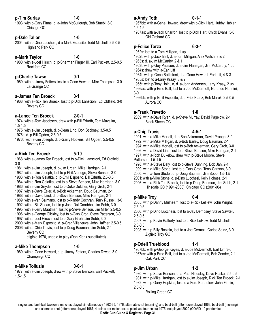### **p-Tim Surlas 1-0**

1993: with p-Gary Pinns, d. a-John McCullough, Bob Stuebi, 3-0 Chicago GC

### **p-Dale Tallon 1-0**

2004: with p-Dino Lucchesi, d a-Mark Esposito, Todd Mitchell, 2.5-0.5 Highland Park CC

## **a-Mark Taylor 1-0**

1980: with a-Joel Hirsch, d. p-Sherman Finger III, Earl Puckett, 2.5-0.5 Rockford CC

# **p-Charlie Tawse 0-1**

1969: with p-Jimmy Fetters, lost to a-Gene Howard, Mike Thompson, 3-0 La Grange CC

# **a-James Ten Broeck 0-1**

1968: with a-Rick Ten Broeck, lost to p-Dick Lanscioni, Ed Oldfield, 3-0 Beverly CC

# **a-Lance Ten Broeck 2-0-1**

1974: with a-Tom Jacobsen, drew with p-Bill Erfurth, Tom Mavaika, 1.5-1.5

1975: with a-Jim Joseph, d. p-Dean Lind, Don Stickney, 3.5-0.5 1976s: d. p-Bill Ogden, 2.5-0.5

1976t: with a-Jim Joseph, d. p-Garry Hopkins, Bill Ogden, 2.5-0.5 Beverly CC

# **a-Rick Ten Broeck 5-10**

1968: with a-James Ten Broeck, lost to p-Dick Lanscioni, Ed Oldfield, 3-0

- 1981: with a-Jim Joseph, d. p-Jim Urban, Mike Harrigan, 2-1 1982: with a-Jim Joseph, lost to p-Phil Aldridge, Steve Benson, 3-0 1983: with a-Ron Gelatka, d. p-Emil Esposito, Bill Erfurth, 2.5-0.5 1984: with a-Ron Gelatka, lost to p-Steve Benson, Mike Harrigan, 3-0 1986: with a-Jim Snyder, lost to p-Duke Delcher, Gary Groh, 2-1 1987: with a-Dave Esler, d. p-Bob Ackerman, Doug Bauman, 2-1 1988: with a-David Lind, d. p-Steve Benson, Mike Harrigan, 2-1 1989: with a-Van Salmans, lost to p-Randy Cochran, Terry Russell, 3-0
- 1992: with a-Bill Shean, lost to p-John Dal Corobbo, Jim Sobb, 3-0
- 1995: with a-Jerry Maatman, lost to p-Steve Benson, Jim Miller, 2.5-0.5
- 1996: with a-George Glickley, lost to p-Gary Groh, Steve Patterson, 3-0
- 1997: with a-Joel Hirsch, lost to p-Gary Groh, Jim Sobb, 3-0
- 2000: with a-Mark Esposito, d. p-Greg Villeneuve, John Haffner, 2.5-0.5
- 2006: with a-Chip Travis, lost to p-Doug Bauman, Jim Sobb, 2-1 Beverly CC

eligible 1970, unable to play (Don Klenk substituted)

# **a-Mike Thompson 1-0**

1969: with a-Gene Howard, d. p-Jimmy Fetters, Charles Tawse, 3-0 Champaign CC

# **a-Mike Toliuzis 0-0-1**

1977: with a-Jim Joseph, drew with p-Steve Benson, Earl Puckett, 1.5-1.5

### **a-Andy Toth 0-1-1**

1967bb: with a-Gene Howard, drew with p-Dick Hart, Hubby Habjan, 1.5-1.5

1967as: with a-Jack Charron, lost to p-Dick Hart, Chick Evans, 3-0 Old Orchard CC

## **p-Felice Torza 6-3-1**

1962s: lost to a-Tom Milligan, 1 up

1962t: with p-Jack Bell, d. a-Tom Milligan, Alex Welsh, 3 & 2

1963s: d. a-Jim McCarthy, 2 & 1

1963t: with p-Guy Paulsen, d. a-Jim Flanagan, Jim McCarthy, 1 up 1964s: drew with a-Earl Liff

1964t: with p-Gene Battistoni, d. a-Gene Howard, Earl Liff, 4 & 3 1965s: lost to a-Larry Kraay, 3 & 2

1965t: with p-Tony Holguin, d. a-John Andersen, Larry Kraay, 2 up 1966as: with p-Errie Ball, lost to a-Joe McDermott, Norando Nannini,

3-0

1966bb: with p-Emil Esposito, d. a-Fritz Franz, Bob Marek, 2.5-0.5 Aurora CC

# **a-Frank Travetto 1-0**

2009: with a-Dave Ryan, d. p-Steve Murray, David Pagelow, 2-1 Black Sheep GC

# **a-Chip Travis 4-5-1**

1991: with a-Mike Mortell, d. p-Bob Ackerman, David Prange, 3-0 1992: with a-Mike Milligan, d. p-Bob Bailey, Doug Bauman, 2-1 1994: with a-Mike Mortell, lost to p-Bob Ackerman, Gary Groh, 3-0 1996: with a-David Lind, lost to p-Steve Benson, Mike Harrigan, 2-1 1997: with a-Rich Dukelow, drew with p-Steve Moore, Steve Patterson, 1.5-1.5

1998: with a-Steve Daly, lost to p-Steve Dunning, Bob Jan, 2-1 1999: with a-Mike Stone, lost to p-Gary Groh, Terry Carlson, 3-0

- 2000: with a-Tom Studer, d. p-Doug Bauman, Jim Sobb, 1.5-1.5
- 2001: with a-Mike Stone, d. p-Dino Lucchesi, Kelly Holmes, 2-1
- 2006: with a-Rick Ten Broeck, lost to p-Doug Bauman, Jim Sobb, 2-1 Hinsdale GC (1991-2000), Chicago GC (2001-06)

# **p-Mike Troy 0-4**

2005: with p-Danny Mulhearn, lost to a-Rick LeHew, John Wright, 2.5-0.5

2006: with p-Dino Lucchesi, lost to a-Jay Dempsey, Steve Sawtell, 2.5-0.5

2007: with p-Kevin Rafferty, lost to a-Rick LeHew, Todd Mitchell, 2.5-0.5

2008: with p-Billy Rosinia, lost to a-Joe Cermak, Carlos Sainz, 3-0 Zigfield Troy GC

## **p-Odell Trueblood 1-1**

1967bb: with p-George Keyes, d. a-Joe McDermott, Earl Liff, 3-0 1967as: with p-Errie Ball, lost to a-Joe McDermott, Bob Zender, 2-1 Oak Park CC

## **p-Jim Urban 1-2**

1980: with p-Steve Benson, d. a-Paul Hindsley, Dave Huske, 2.5-0.5 1981: with p-Mike Harrigan, lost to a-Jim Joseph, Rick Ten Broeck, 2-1 1982: with p-Garry Hopkins, lost to a-Ford Bartholow, John Finnin, 2.5-0.5

Rolling Green CC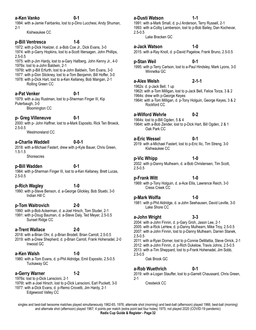# **a-Ken Vanko 0-1**

1994: with a-Jamie Fairbanks, lost to p-Dino Lucchesi, Andy Shuman, 2-1

Kishwaukee CC

# **p-Bill Ventresca 1-6**

1972: with p-Dick Hoelzer, d. a-Bob Coe Jr., Dick Evans, 3-0 1974: with p-Garry Hopkins, lost to a-Scott Ittersagen, John Phillips, 2.5-0.5

1975: with p-Jim Hardy, lost to a-Gary Hallberg, John Kenny Jr., 4-0 1976s: lost to a-John Baldwin, 2-1

1976t: with p-Bill Erfurth, lost to a-John Baldwin, Tom Evans, 3-0 1977: with p-Don Stickney, lost to a-Tom Benjamin, Bill Hoffer, 3-0

- 1978: with p-Dick Hart, lost to a-Ken Kellaney, Bob Mangan, 2-1
	- Rolling Green CC

# **a-Pat Venker 0-1**

1979: with a-Jay Rustman, lost to p-Sherman Finger III, Kip Puterbaugh, 3-0 Bloomington CC

# **p- Greg Villeneuve 0-1**

2000: with p- John Haffner, lost to a-Mark Esposito, Rick Ten Broeck, 2.5-0.5

Westmoreland CC

# **a-Charlie Waddell 0-0-1**

2018: with a-Michael Fastert, drew with p-Kyle Bauer, Chris Green, 1.5-1.5

**Shoreacres** 

### **p-Bill Wadden 0-1**

1984: with p-Sherman Finger III, lost to a-Ken Kellaney, Brett Lucas, 2.5-0.5

**p-Rich Wagley 1-0**  1990: with p-Steve Benson, d. a-George Glickley, Bob Stuebi, 3-0 Indian Hill C

## **p-Tom Waitrovich 2-0**

1990: with p-Bob Ackerman, d. a-Joel Hirsch, Tom Studer, 2-1 1991: with p-Doug Bauman, d. a-Steve Daly, Ted Meyer, 2.5-0.5 Sunset Ridge CC

## **a-Trent Wallace 2-0**

2018: with a-Brian Ohr, d. p-Brian Brodell, Brian Carroll, 2.5-0.5 2019: with a-Drew Shepherd, d. p-Brian Carroll, Frank Hohenadel, 2-0 Inwood GC

### **a-Ken Walsh 1-0**

1980: with a-Tom Evans, d. p-Phil Aldridge, Emil Esposito, 2.5-0.5 Tuckaway GC

# **a-Gerry Warner 1-2**

1976s: lost to p-Dick Lanscioni, 2-1 1976t: with a-Joel Hirsch, lost to p-Dick Lanscioni, Earl Puckett, 3-0 1977: with a-Dick Evans, d. p-Remo Crovetti, Jim Hardy, 2-1 Edgewood Valley CC

# **a-Dusti Watson 1-1**

1991: with a-Mark Small, d. p-J Anderson, Terry Russell, 2-1 1993: with a-Colby Lamberson, lost to p-Bob Bailey, Dan Kochevar, 2.5-0.5

Lake Bracken GC

# **a-Jack Watson 1-0**

2015: with a-Ray Knoll, d. p-David Pagelow, Frank Bruno, 2.5-0.5

### **p-Stan Weil** 0-1

1995: with p-Terry Carlson, lost to a-Paul Hindsley, Mark Lyons, 3-0 Winnetka GC

## **a-Alex Welsh 2-1-1**

1962s: d. p-Jack Bell, 1 up 1962t: with a-Tom Milligan, lost to p-Jack Bell, Felice Torza, 3 & 2

1964s: drew with p-George Keyes

1964t: with a-Tom Milligan, d. p-Tony Holguin, George Keyes, 3 & 2 Rockford CC

### **a-Wilford Wehrle 0-2**

1964s: lost to p-Bill Ogden, 5 & 4 1964t: with a-Bob Zender, lost to p-Dick Hart, Bill Ogden, 2 & 1 Oak Park CC

## **a-Eric Wessel 0-1**

2019: with a-Michael Fastert, lost to p-Eric Ilic, Tim Streng, 3-0 Kishwaukee CC

### **p-Vic Whipp 1-0**

2002: with p-Danny Mulhearn, d. a-Bob Christensen, Tim Scott, 2.5-0.5

## **p-Frank Witt 1-0**

1969: with p-Tony Holguin, d. a-Ace Ellis, Lawrence Reich, 3-0 Cress Creek CC

### **p-Mark Wolfla 1-0**

1981: with p-Phil Aldridge, d. a-John Seehausen, David Leville, 3-0 Lake Shore CC

## **a-John Wright 3-3**

2004: with a-John Finnin, d. p-Gary Groh, Jason Lee, 2-1 2005: with a-Rick LeHew, d. p-Danny Mulhearn, Mike Troy, 2.5-0.5 2007: with a-John Finnin, lost to p-Danny Mulhearn, Darren Stanek, 2.5-0.5 2011: with a-Ryan Dorner, lost to p-Connie DeMattia, Steve Orrick, 2-1 2012: with a-John Finnin, d. p-Rich Dukelow, Travis Johns, 2.5-0.5

2013: with a-Tim Sheppard, lost to p-Frank Hohenadel, Jim Sobb, 2.5-0.5

Oak Brook GC

## **a-Rob Wuethrich 0-1**

2019: with a-Logan Stauffer, lost to p-Garrett Chaussard, Chris Green, 2-1

Crestwick CC